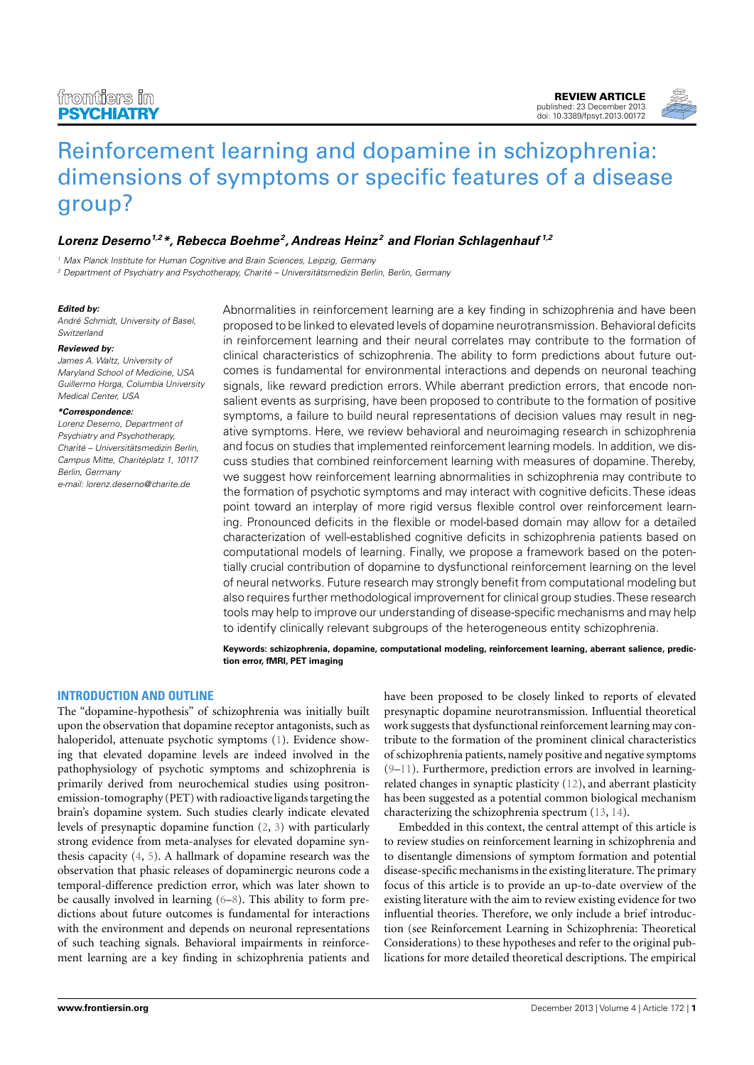

# [Reinforcement learning and dopamine in schizophrenia:](http://www.frontiersin.org/Journal/10.3389/fpsyt.2013.00172/abstract) [dimensions of symptoms or specific features of a disease](http://www.frontiersin.org/Journal/10.3389/fpsyt.2013.00172/abstract) [group?](http://www.frontiersin.org/Journal/10.3389/fpsyt.2013.00172/abstract)

# **[Lorenz Deserno](http://www.frontiersin.org/people/u/85159)1,2\*, [Rebecca Boehme](http://www.frontiersin.org/people/u/111661)<sup>2</sup> , [Andreas Heinz](http://www.frontiersin.org/people/u/5872) <sup>2</sup> and [Florian Schlagenhauf](http://www.frontiersin.org/people/FlorianSchlagenhauf/56331) 1,2**

<sup>1</sup> Max Planck Institute for Human Cognitive and Brain Sciences, Leipzig, Germany

<sup>2</sup> Department of Psychiatry and Psychotherapy, Charité – Universitätsmedizin Berlin, Berlin, Germany

#### **Edited by:**

André Schmidt, University of Basel, Switzerland

#### **Reviewed by:**

James A. Waltz, University of Maryland School of Medicine, USA Guillermo Horga, Columbia University Medical Center, USA

#### **\*Correspondence:**

Lorenz Deserno, Department of Psychiatry and Psychotherapy, Charité – Universitätsmedizin Berlin, Campus Mitte, Charitéplatz 1, 10117 Berlin, Germany e-mail: [lorenz.deserno@charite.de](mailto:lorenz.deserno@charite.de)

Abnormalities in reinforcement learning are a key finding in schizophrenia and have been proposed to be linked to elevated levels of dopamine neurotransmission. Behavioral deficits in reinforcement learning and their neural correlates may contribute to the formation of clinical characteristics of schizophrenia. The ability to form predictions about future outcomes is fundamental for environmental interactions and depends on neuronal teaching signals, like reward prediction errors. While aberrant prediction errors, that encode nonsalient events as surprising, have been proposed to contribute to the formation of positive symptoms, a failure to build neural representations of decision values may result in negative symptoms. Here, we review behavioral and neuroimaging research in schizophrenia and focus on studies that implemented reinforcement learning models. In addition, we discuss studies that combined reinforcement learning with measures of dopamine. Thereby, we suggest how reinforcement learning abnormalities in schizophrenia may contribute to the formation of psychotic symptoms and may interact with cognitive deficits. These ideas point toward an interplay of more rigid versus flexible control over reinforcement learning. Pronounced deficits in the flexible or model-based domain may allow for a detailed characterization of well-established cognitive deficits in schizophrenia patients based on computational models of learning. Finally, we propose a framework based on the potentially crucial contribution of dopamine to dysfunctional reinforcement learning on the level of neural networks. Future research may strongly benefit from computational modeling but also requires further methodological improvement for clinical group studies.These research tools may help to improve our understanding of disease-specific mechanisms and may help to identify clinically relevant subgroups of the heterogeneous entity schizophrenia.

**Keywords: schizophrenia, dopamine, computational modeling, reinforcement learning, aberrant salience, prediction error, fMRI, PET imaging**

# **INTRODUCTION AND OUTLINE**

The "dopamine-hypothesis" of schizophrenia was initially built upon the observation that dopamine receptor antagonists, such as haloperidol, attenuate psychotic symptoms [\(1\)](#page-12-0). Evidence showing that elevated dopamine levels are indeed involved in the pathophysiology of psychotic symptoms and schizophrenia is primarily derived from neurochemical studies using positronemission-tomography (PET) with radioactive ligands targeting the brain's dopamine system. Such studies clearly indicate elevated levels of presynaptic dopamine function [\(2,](#page-12-1) [3\)](#page-12-2) with particularly strong evidence from meta-analyses for elevated dopamine synthesis capacity [\(4,](#page-12-3) [5\)](#page-12-4). A hallmark of dopamine research was the observation that phasic releases of dopaminergic neurons code a temporal-difference prediction error, which was later shown to be causally involved in learning [\(6](#page-12-5)[–8\)](#page-12-6). This ability to form predictions about future outcomes is fundamental for interactions with the environment and depends on neuronal representations of such teaching signals. Behavioral impairments in reinforcement learning are a key finding in schizophrenia patients and

have been proposed to be closely linked to reports of elevated presynaptic dopamine neurotransmission. Influential theoretical work suggests that dysfunctional reinforcement learning may contribute to the formation of the prominent clinical characteristics of schizophrenia patients, namely positive and negative symptoms  $(9-11)$  $(9-11)$ . Furthermore, prediction errors are involved in learningrelated changes in synaptic plasticity [\(12\)](#page-12-9), and aberrant plasticity has been suggested as a potential common biological mechanism characterizing the schizophrenia spectrum [\(13,](#page-12-10) [14\)](#page-12-11).

Embedded in this context, the central attempt of this article is to review studies on reinforcement learning in schizophrenia and to disentangle dimensions of symptom formation and potential disease-specific mechanisms in the existing literature. The primary focus of this article is to provide an up-to-date overview of the existing literature with the aim to review existing evidence for two influential theories. Therefore, we only include a brief introduction (see [Reinforcement Learning in Schizophrenia: Theoretical](#page-2-0) [Considerations\)](#page-2-0) to these hypotheses and refer to the original publications for more detailed theoretical descriptions. The empirical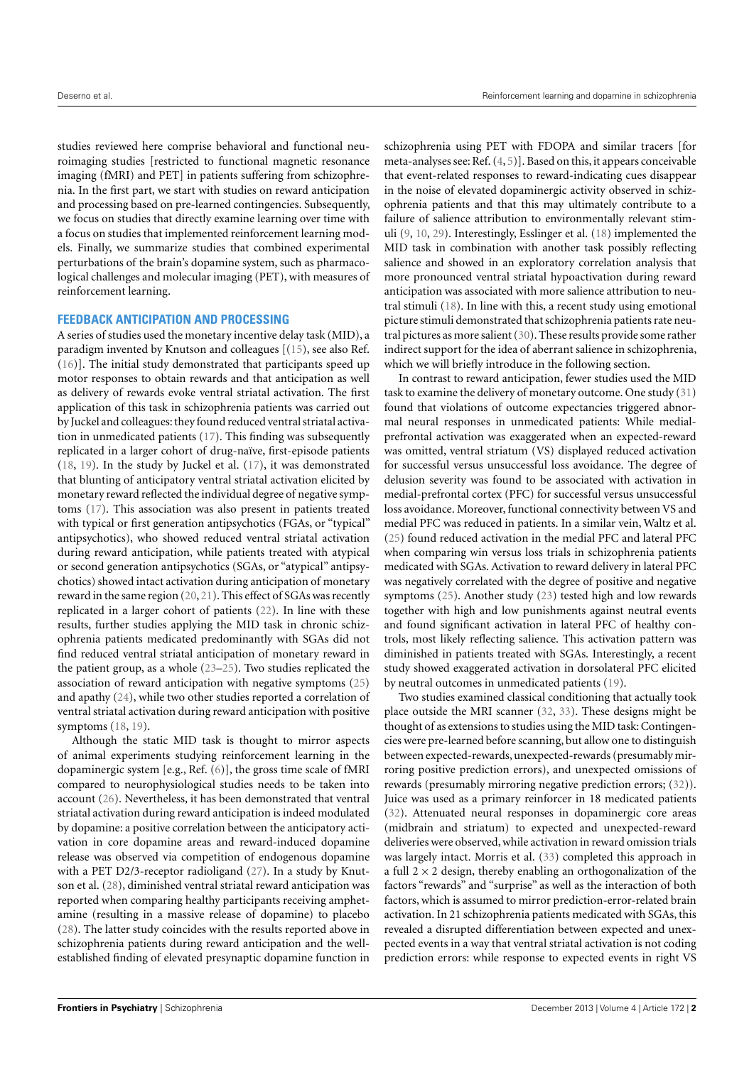studies reviewed here comprise behavioral and functional neuroimaging studies [restricted to functional magnetic resonance imaging (fMRI) and PET] in patients suffering from schizophrenia. In the first part, we start with studies on reward anticipation and processing based on pre-learned contingencies. Subsequently, we focus on studies that directly examine learning over time with a focus on studies that implemented reinforcement learning models. Finally, we summarize studies that combined experimental perturbations of the brain's dopamine system, such as pharmacological challenges and molecular imaging (PET), with measures of reinforcement learning.

### **FEEDBACK ANTICIPATION AND PROCESSING**

A series of studies used the monetary incentive delay task (MID), a paradigm invented by Knutson and colleagues [[\(15\)](#page-12-12), see also Ref. [\(16\)](#page-12-13)]. The initial study demonstrated that participants speed up motor responses to obtain rewards and that anticipation as well as delivery of rewards evoke ventral striatal activation. The first application of this task in schizophrenia patients was carried out by Juckel and colleagues: they found reduced ventral striatal activation in unmedicated patients [\(17\)](#page-12-14). This finding was subsequently replicated in a larger cohort of drug-naïve, first-episode patients [\(18,](#page-12-15) [19\)](#page-12-16). In the study by Juckel et al. [\(17\)](#page-12-14), it was demonstrated that blunting of anticipatory ventral striatal activation elicited by monetary reward reflected the individual degree of negative symptoms [\(17\)](#page-12-14). This association was also present in patients treated with typical or first generation antipsychotics (FGAs, or "typical" antipsychotics), who showed reduced ventral striatal activation during reward anticipation, while patients treated with atypical or second generation antipsychotics (SGAs, or "atypical" antipsychotics) showed intact activation during anticipation of monetary reward in the same region [\(20,](#page-12-17) [21\)](#page-12-18). This effect of SGAs was recently replicated in a larger cohort of patients [\(22\)](#page-12-19). In line with these results, further studies applying the MID task in chronic schizophrenia patients medicated predominantly with SGAs did not find reduced ventral striatal anticipation of monetary reward in the patient group, as a whole [\(23–](#page-12-20)[25\)](#page-12-21). Two studies replicated the association of reward anticipation with negative symptoms [\(25\)](#page-12-21) and apathy [\(24\)](#page-12-22), while two other studies reported a correlation of ventral striatal activation during reward anticipation with positive symptoms [\(18,](#page-12-15) [19\)](#page-12-16).

Although the static MID task is thought to mirror aspects of animal experiments studying reinforcement learning in the dopaminergic system [e.g., Ref. [\(6\)](#page-12-5)], the gross time scale of fMRI compared to neurophysiological studies needs to be taken into account [\(26\)](#page-12-23). Nevertheless, it has been demonstrated that ventral striatal activation during reward anticipation is indeed modulated by dopamine: a positive correlation between the anticipatory activation in core dopamine areas and reward-induced dopamine release was observed via competition of endogenous dopamine with a PET D2/3-receptor radioligand [\(27\)](#page-12-24). In a study by Knutson et al. [\(28\)](#page-12-25), diminished ventral striatal reward anticipation was reported when comparing healthy participants receiving amphetamine (resulting in a massive release of dopamine) to placebo [\(28\)](#page-12-25). The latter study coincides with the results reported above in schizophrenia patients during reward anticipation and the wellestablished finding of elevated presynaptic dopamine function in

schizophrenia using PET with FDOPA and similar tracers [for meta-analyses see: Ref. [\(4,](#page-12-3) [5\)](#page-12-4)]. Based on this, it appears conceivable that event-related responses to reward-indicating cues disappear in the noise of elevated dopaminergic activity observed in schizophrenia patients and that this may ultimately contribute to a failure of salience attribution to environmentally relevant stimuli [\(9,](#page-12-7) [10,](#page-12-26) [29\)](#page-12-27). Interestingly, Esslinger et al. [\(18\)](#page-12-15) implemented the MID task in combination with another task possibly reflecting salience and showed in an exploratory correlation analysis that more pronounced ventral striatal hypoactivation during reward anticipation was associated with more salience attribution to neutral stimuli [\(18\)](#page-12-15). In line with this, a recent study using emotional picture stimuli demonstrated that schizophrenia patients rate neutral pictures as more salient [\(30\)](#page-12-28). These results provide some rather indirect support for the idea of aberrant salience in schizophrenia, which we will briefly introduce in the following section.

In contrast to reward anticipation, fewer studies used the MID task to examine the delivery of monetary outcome. One study [\(31\)](#page-12-29) found that violations of outcome expectancies triggered abnormal neural responses in unmedicated patients: While medialprefrontal activation was exaggerated when an expected-reward was omitted, ventral striatum (VS) displayed reduced activation for successful versus unsuccessful loss avoidance. The degree of delusion severity was found to be associated with activation in medial-prefrontal cortex (PFC) for successful versus unsuccessful loss avoidance. Moreover, functional connectivity between VS and medial PFC was reduced in patients. In a similar vein, Waltz et al. [\(25\)](#page-12-21) found reduced activation in the medial PFC and lateral PFC when comparing win versus loss trials in schizophrenia patients medicated with SGAs. Activation to reward delivery in lateral PFC was negatively correlated with the degree of positive and negative symptoms [\(25\)](#page-12-21). Another study [\(23\)](#page-12-20) tested high and low rewards together with high and low punishments against neutral events and found significant activation in lateral PFC of healthy controls, most likely reflecting salience. This activation pattern was diminished in patients treated with SGAs. Interestingly, a recent study showed exaggerated activation in dorsolateral PFC elicited by neutral outcomes in unmedicated patients [\(19\)](#page-12-16).

Two studies examined classical conditioning that actually took place outside the MRI scanner [\(32,](#page-12-30) [33\)](#page-12-31). These designs might be thought of as extensions to studies using the MID task: Contingencies were pre-learned before scanning, but allow one to distinguish between expected-rewards, unexpected-rewards (presumably mirroring positive prediction errors), and unexpected omissions of rewards (presumably mirroring negative prediction errors; [\(32\)](#page-12-30)). Juice was used as a primary reinforcer in 18 medicated patients [\(32\)](#page-12-30). Attenuated neural responses in dopaminergic core areas (midbrain and striatum) to expected and unexpected-reward deliveries were observed,while activation in reward omission trials was largely intact. Morris et al. [\(33\)](#page-12-31) completed this approach in a full  $2 \times 2$  design, thereby enabling an orthogonalization of the factors "rewards" and "surprise" as well as the interaction of both factors, which is assumed to mirror prediction-error-related brain activation. In 21 schizophrenia patients medicated with SGAs, this revealed a disrupted differentiation between expected and unexpected events in a way that ventral striatal activation is not coding prediction errors: while response to expected events in right VS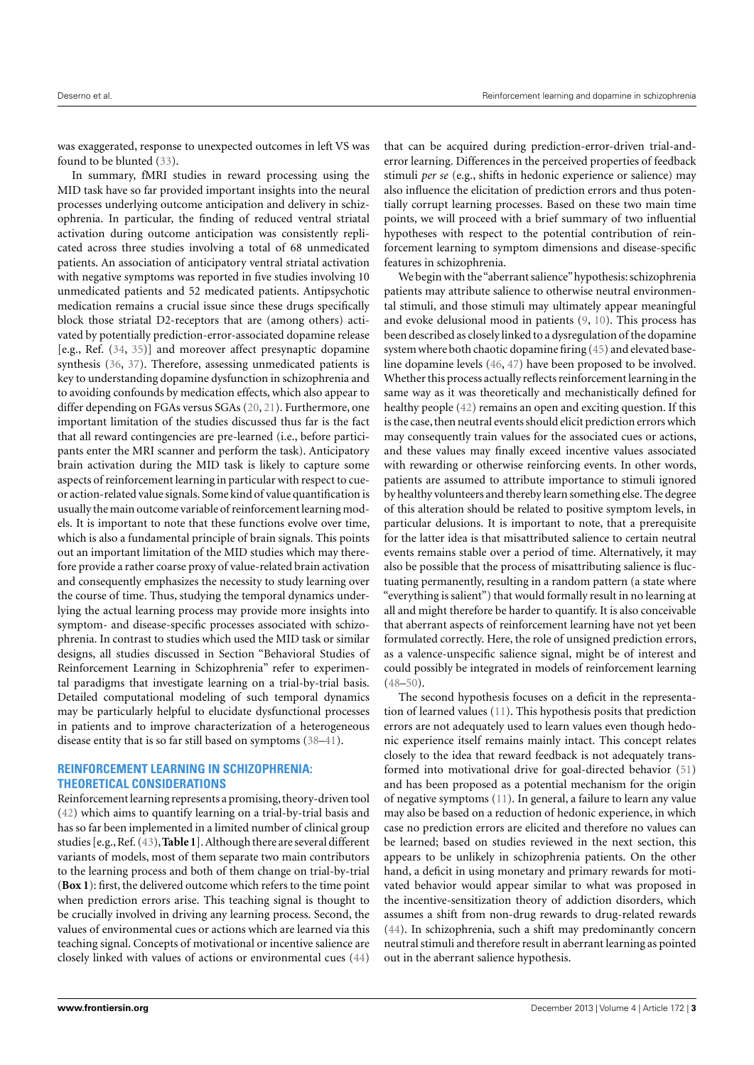was exaggerated, response to unexpected outcomes in left VS was found to be blunted [\(33\)](#page-12-31).

In summary, fMRI studies in reward processing using the MID task have so far provided important insights into the neural processes underlying outcome anticipation and delivery in schizophrenia. In particular, the finding of reduced ventral striatal activation during outcome anticipation was consistently replicated across three studies involving a total of 68 unmedicated patients. An association of anticipatory ventral striatal activation with negative symptoms was reported in five studies involving 10 unmedicated patients and 52 medicated patients. Antipsychotic medication remains a crucial issue since these drugs specifically block those striatal D2-receptors that are (among others) activated by potentially prediction-error-associated dopamine release [e.g., Ref. [\(34,](#page-12-32) [35\)](#page-12-33)] and moreover affect presynaptic dopamine synthesis [\(36,](#page-12-34) [37\)](#page-12-35). Therefore, assessing unmedicated patients is key to understanding dopamine dysfunction in schizophrenia and to avoiding confounds by medication effects, which also appear to differ depending on FGAs versus SGAs [\(20,](#page-12-17) [21\)](#page-12-18). Furthermore, one important limitation of the studies discussed thus far is the fact that all reward contingencies are pre-learned (i.e., before participants enter the MRI scanner and perform the task). Anticipatory brain activation during the MID task is likely to capture some aspects of reinforcement learning in particular with respect to cueor action-related value signals. Some kind of value quantification is usually the main outcome variable of reinforcement learning models. It is important to note that these functions evolve over time, which is also a fundamental principle of brain signals. This points out an important limitation of the MID studies which may therefore provide a rather coarse proxy of value-related brain activation and consequently emphasizes the necessity to study learning over the course of time. Thus, studying the temporal dynamics underlying the actual learning process may provide more insights into symptom- and disease-specific processes associated with schizophrenia. In contrast to studies which used the MID task or similar designs, all studies discussed in Section ["Behavioral Studies of](#page-3-0) [Reinforcement Learning in Schizophrenia"](#page-3-0) refer to experimental paradigms that investigate learning on a trial-by-trial basis. Detailed computational modeling of such temporal dynamics may be particularly helpful to elucidate dysfunctional processes in patients and to improve characterization of a heterogeneous disease entity that is so far still based on symptoms [\(38–](#page-12-36)[41\)](#page-13-0).

# <span id="page-2-0"></span>**REINFORCEMENT LEARNING IN SCHIZOPHRENIA: THEORETICAL CONSIDERATIONS**

Reinforcement learning represents a promising, theory-driven tool [\(42\)](#page-13-1) which aims to quantify learning on a trial-by-trial basis and has so far been implemented in a limited number of clinical group studies [e.g.,Ref. [\(43\)](#page-13-2),**[Table 1](#page-3-1)**].Although there are several different variants of models, most of them separate two main contributors to the learning process and both of them change on trial-by-trial (**Box 1**): first, the delivered outcome which refers to the time point when prediction errors arise. This teaching signal is thought to be crucially involved in driving any learning process. Second, the values of environmental cues or actions which are learned via this teaching signal. Concepts of motivational or incentive salience are closely linked with values of actions or environmental cues [\(44\)](#page-13-3)

that can be acquired during prediction-error-driven trial-anderror learning. Differences in the perceived properties of feedback stimuli *per se* (e.g., shifts in hedonic experience or salience) may also influence the elicitation of prediction errors and thus potentially corrupt learning processes. Based on these two main time points, we will proceed with a brief summary of two influential hypotheses with respect to the potential contribution of reinforcement learning to symptom dimensions and disease-specific features in schizophrenia.

We begin with the"aberrant salience"hypothesis: schizophrenia patients may attribute salience to otherwise neutral environmental stimuli, and those stimuli may ultimately appear meaningful and evoke delusional mood in patients [\(9,](#page-12-7) [10\)](#page-12-26). This process has been described as closely linked to a dysregulation of the dopamine system where both chaotic dopamine firing [\(45\)](#page-13-4) and elevated baseline dopamine levels [\(46,](#page-13-5) [47\)](#page-13-6) have been proposed to be involved. Whether this process actually reflects reinforcement learning in the same way as it was theoretically and mechanistically defined for healthy people [\(42\)](#page-13-1) remains an open and exciting question. If this is the case, then neutral events should elicit prediction errors which may consequently train values for the associated cues or actions, and these values may finally exceed incentive values associated with rewarding or otherwise reinforcing events. In other words, patients are assumed to attribute importance to stimuli ignored by healthy volunteers and thereby learn something else. The degree of this alteration should be related to positive symptom levels, in particular delusions. It is important to note, that a prerequisite for the latter idea is that misattributed salience to certain neutral events remains stable over a period of time. Alternatively, it may also be possible that the process of misattributing salience is fluctuating permanently, resulting in a random pattern (a state where "everything is salient") that would formally result in no learning at all and might therefore be harder to quantify. It is also conceivable that aberrant aspects of reinforcement learning have not yet been formulated correctly. Here, the role of unsigned prediction errors, as a valence-unspecific salience signal, might be of interest and could possibly be integrated in models of reinforcement learning  $(48 - 50)$  $(48 - 50)$ .

The second hypothesis focuses on a deficit in the representation of learned values [\(11\)](#page-12-8). This hypothesis posits that prediction errors are not adequately used to learn values even though hedonic experience itself remains mainly intact. This concept relates closely to the idea that reward feedback is not adequately transformed into motivational drive for goal-directed behavior [\(51\)](#page-13-9) and has been proposed as a potential mechanism for the origin of negative symptoms [\(11\)](#page-12-8). In general, a failure to learn any value may also be based on a reduction of hedonic experience, in which case no prediction errors are elicited and therefore no values can be learned; based on studies reviewed in the next section, this appears to be unlikely in schizophrenia patients. On the other hand, a deficit in using monetary and primary rewards for motivated behavior would appear similar to what was proposed in the incentive-sensitization theory of addiction disorders, which assumes a shift from non-drug rewards to drug-related rewards [\(44\)](#page-13-3). In schizophrenia, such a shift may predominantly concern neutral stimuli and therefore result in aberrant learning as pointed out in the aberrant salience hypothesis.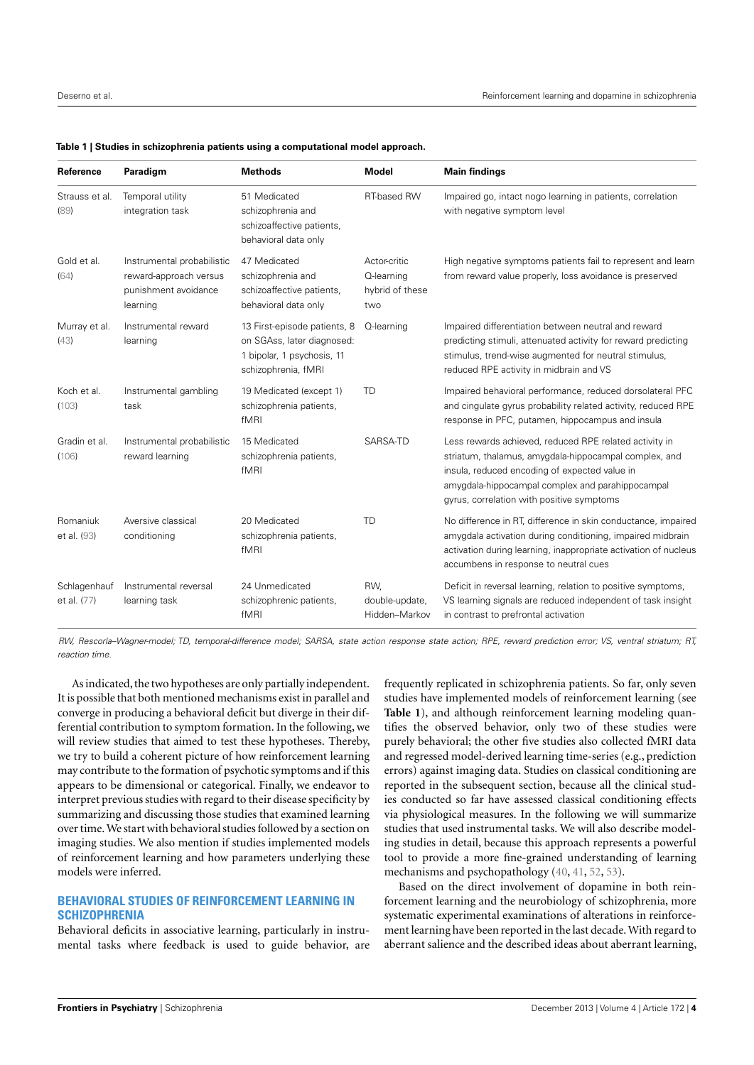| Reference                   | Paradigm                                                                                 | <b>Methods</b>                                                                                                  | Model                                                | <b>Main findings</b>                                                                                                                                                                                                                                              |  |
|-----------------------------|------------------------------------------------------------------------------------------|-----------------------------------------------------------------------------------------------------------------|------------------------------------------------------|-------------------------------------------------------------------------------------------------------------------------------------------------------------------------------------------------------------------------------------------------------------------|--|
| Strauss et al.<br>(89)      | Temporal utility<br>integration task                                                     | RT-based RW<br>51 Medicated<br>schizophrenia and<br>schizoaffective patients,<br>behavioral data only           |                                                      | Impaired go, intact nogo learning in patients, correlation<br>with negative symptom level                                                                                                                                                                         |  |
| Gold et al.<br>(64)         | Instrumental probabilistic<br>reward-approach versus<br>punishment avoidance<br>learning | 47 Medicated<br>schizophrenia and<br>schizoaffective patients,<br>behavioral data only                          | Actor-critic<br>Q-learning<br>hybrid of these<br>two | High negative symptoms patients fail to represent and learn<br>from reward value properly, loss avoidance is preserved                                                                                                                                            |  |
| Murray et al.<br>(43)       | Instrumental reward<br>learning                                                          | 13 First-episode patients, 8<br>on SGAss, later diagnosed:<br>1 bipolar, 1 psychosis, 11<br>schizophrenia, fMRI | Q-learning                                           | Impaired differentiation between neutral and reward<br>predicting stimuli, attenuated activity for reward predicting<br>stimulus, trend-wise augmented for neutral stimulus,<br>reduced RPE activity in midbrain and VS                                           |  |
| Koch et al.<br>(103)        | Instrumental gambling<br>task                                                            | 19 Medicated (except 1)<br>schizophrenia patients,<br>fMRI                                                      | <b>TD</b>                                            | Impaired behavioral performance, reduced dorsolateral PFC<br>and cingulate gyrus probability related activity, reduced RPE<br>response in PFC, putamen, hippocampus and insula                                                                                    |  |
| Gradin et al.<br>(106)      | Instrumental probabilistic<br>reward learning                                            | 15 Medicated<br>schizophrenia patients,<br>fMRI                                                                 | SARSA-TD                                             | Less rewards achieved, reduced RPE related activity in<br>striatum, thalamus, amygdala-hippocampal complex, and<br>insula, reduced encoding of expected value in<br>amygdala-hippocampal complex and parahippocampal<br>gyrus, correlation with positive symptoms |  |
| Romaniuk<br>et al. (93)     | Aversive classical<br>conditioning                                                       | 20 Medicated<br>schizophrenia patients,<br>fMRI                                                                 | <b>TD</b>                                            | No difference in RT, difference in skin conductance, impaired<br>amygdala activation during conditioning, impaired midbrain<br>activation during learning, inappropriate activation of nucleus<br>accumbens in response to neutral cues                           |  |
| Schlagenhauf<br>et al. (77) | Instrumental reversal<br>learning task                                                   | 24 Unmedicated<br>schizophrenic patients,<br>fMRI                                                               | RW,<br>double-update,<br>Hidden-Markov               | Deficit in reversal learning, relation to positive symptoms,<br>VS learning signals are reduced independent of task insight<br>in contrast to prefrontal activation                                                                                               |  |

<span id="page-3-1"></span>

|  |  |  |  |  | Table 1   Studies in schizophrenia patients using a computational model approach. |  |  |
|--|--|--|--|--|-----------------------------------------------------------------------------------|--|--|
|--|--|--|--|--|-----------------------------------------------------------------------------------|--|--|

RW, Rescorla–Wagner-model; TD, temporal-difference model; SARSA, state action response state action; RPE, reward prediction error; VS, ventral striatum; RT, reaction time.

As indicated, the two hypotheses are only partially independent. It is possible that both mentioned mechanisms exist in parallel and converge in producing a behavioral deficit but diverge in their differential contribution to symptom formation. In the following, we will review studies that aimed to test these hypotheses. Thereby, we try to build a coherent picture of how reinforcement learning may contribute to the formation of psychotic symptoms and if this appears to be dimensional or categorical. Finally, we endeavor to interpret previous studies with regard to their disease specificity by summarizing and discussing those studies that examined learning over time.We start with behavioral studies followed by a section on imaging studies. We also mention if studies implemented models of reinforcement learning and how parameters underlying these models were inferred.

# <span id="page-3-0"></span>**BEHAVIORAL STUDIES OF REINFORCEMENT LEARNING IN SCHIZOPHRENIA**

Behavioral deficits in associative learning, particularly in instrumental tasks where feedback is used to guide behavior, are

frequently replicated in schizophrenia patients. So far, only seven studies have implemented models of reinforcement learning (see **[Table 1](#page-3-1)**), and although reinforcement learning modeling quantifies the observed behavior, only two of these studies were purely behavioral; the other five studies also collected fMRI data and regressed model-derived learning time-series (e.g., prediction errors) against imaging data. Studies on classical conditioning are reported in the subsequent section, because all the clinical studies conducted so far have assessed classical conditioning effects via physiological measures. In the following we will summarize studies that used instrumental tasks. We will also describe modeling studies in detail, because this approach represents a powerful tool to provide a more fine-grained understanding of learning mechanisms and psychopathology [\(40,](#page-12-37) [41,](#page-13-0) [52,](#page-13-12) [53\)](#page-13-13).

Based on the direct involvement of dopamine in both reinforcement learning and the neurobiology of schizophrenia, more systematic experimental examinations of alterations in reinforcement learning have been reported in the last decade.With regard to aberrant salience and the described ideas about aberrant learning,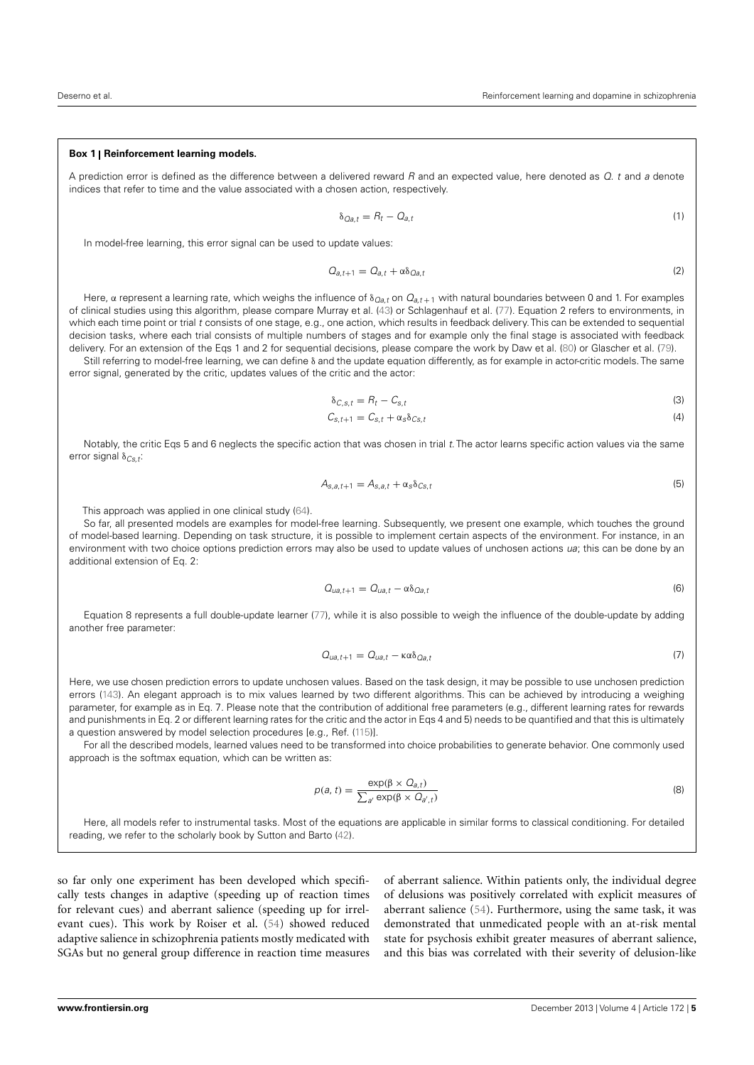#### **Box 1 Reinforcement learning models.**

A prediction error is defined as the difference between a delivered reward R and an expected value, here denoted as  $Q$ , t and a denote indices that refer to time and the value associated with a chosen action, respectively.

$$
\delta_{Qa,t} = R_t - Q_{a,t} \tag{1}
$$

In model-free learning, this error signal can be used to update values:

$$
Q_{a,t+1} = Q_{a,t} + \alpha \delta_{Qa,t} \tag{2}
$$

Here, α represent a learning rate, which weighs the influence of  $\delta_{Qa,t}$  on  $Q_{a,t+1}$  with natural boundaries between 0 and 1. For examples of clinical studies using this algorithm, please compare Murray et al. [\(43\)](#page-13-2) or Schlagenhauf et al. [\(77\)](#page-13-11). Equation 2 refers to environments, in which each time point or trial t consists of one stage, e.g., one action, which results in feedback delivery. This can be extended to sequential decision tasks, where each trial consists of multiple numbers of stages and for example only the final stage is associated with feedback delivery. For an extension of the Eqs 1 and 2 for sequential decisions, please compare the work by Daw et al. [\(80\)](#page-13-14) or Glascher et al. [\(79\)](#page-13-15).

Still referring to model-free learning, we can define δ and the update equation differently, as for example in actor-critic models. The same error signal, generated by the critic, updates values of the critic and the actor:

$$
\delta_{C,s,t} = R_t - C_{s,t} \tag{3}
$$

$$
C_{s,t+1} = C_{s,t} + \alpha_s \delta_{Cs,t} \tag{4}
$$

Notably, the critic Eqs 5 and 6 neglects the specific action that was chosen in trial t. The actor learns specific action values via the same error signal  $\delta_{Cs.t}$ :

$$
A_{s,a,t+1} = A_{s,a,t} + \alpha_s \delta_{Cs,t}
$$
\n<sup>(5)</sup>

This approach was applied in one clinical study [\(64\)](#page-13-10).

So far, all presented models are examples for model-free learning. Subsequently, we present one example, which touches the ground of model-based learning. Depending on task structure, it is possible to implement certain aspects of the environment. For instance, in an environment with two choice options prediction errors may also be used to update values of unchosen actions ua; this can be done by an additional extension of Eq. 2:

$$
Q_{ua,t+1} = Q_{ua,t} - \alpha \delta_{Da,t} \tag{6}
$$

Equation 8 represents a full double-update learner [\(77\)](#page-13-11), while it is also possible to weigh the influence of the double-update by adding another free parameter:

$$
Q_{ua,t+1} = Q_{ua,t} - \kappa \alpha \delta_{\Omega a,t} \tag{7}
$$

Here, we use chosen prediction errors to update unchosen values. Based on the task design, it may be possible to use unchosen prediction errors [\(143\)](#page-15-0). An elegant approach is to mix values learned by two different algorithms. This can be achieved by introducing a weighing parameter, for example as in Eq. 7. Please note that the contribution of additional free parameters (e.g., different learning rates for rewards and punishments in Eq. 2 or different learning rates for the critic and the actor in Eqs 4 and 5) needs to be quantified and that this is ultimately a question answered by model selection procedures [e.g., Ref. [\(115\)](#page-14-4)].

For all the described models, learned values need to be transformed into choice probabilities to generate behavior. One commonly used approach is the softmax equation, which can be written as:

$$
p(a, t) = \frac{\exp(\beta \times Q_{a,t})}{\sum_{a'} \exp(\beta \times Q_{a',t})}
$$
\n(8)

Here, all models refer to instrumental tasks. Most of the equations are applicable in similar forms to classical conditioning. For detailed reading, we refer to the scholarly book by Sutton and Barto [\(42\)](#page-13-1).

so far only one experiment has been developed which specifically tests changes in adaptive (speeding up of reaction times for relevant cues) and aberrant salience (speeding up for irrelevant cues). This work by Roiser et al. [\(54\)](#page-13-16) showed reduced adaptive salience in schizophrenia patients mostly medicated with SGAs but no general group difference in reaction time measures of aberrant salience. Within patients only, the individual degree of delusions was positively correlated with explicit measures of aberrant salience [\(54\)](#page-13-16). Furthermore, using the same task, it was demonstrated that unmedicated people with an at-risk mental state for psychosis exhibit greater measures of aberrant salience, and this bias was correlated with their severity of delusion-like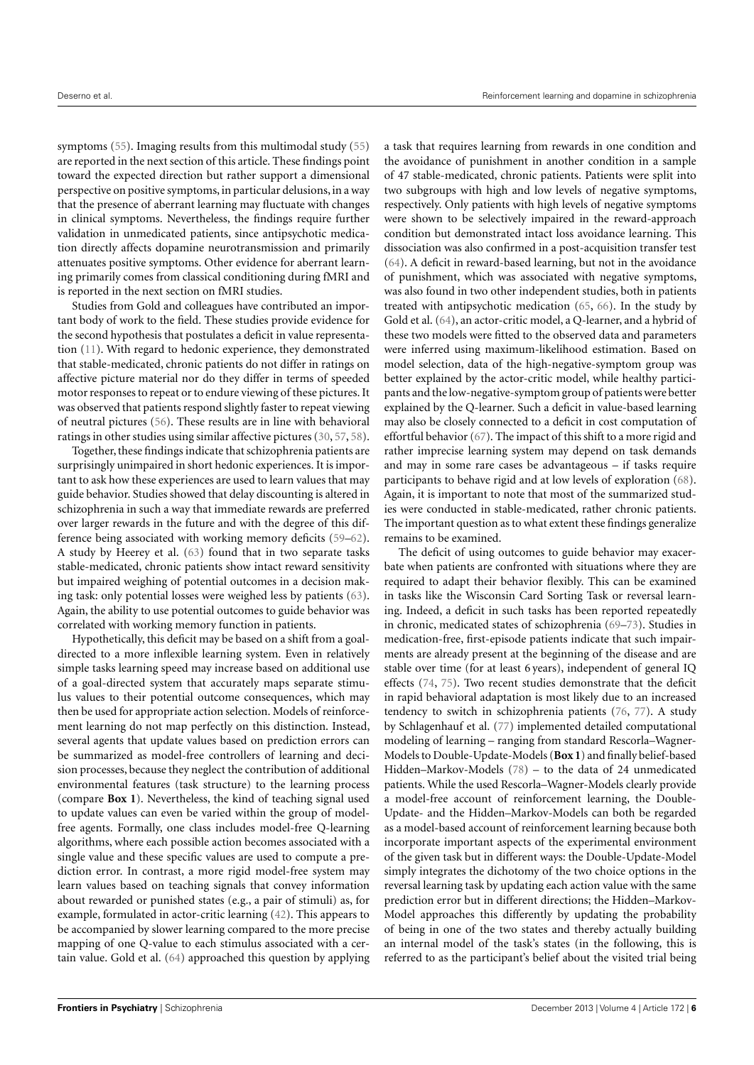symptoms [\(55\)](#page-13-17). Imaging results from this multimodal study [\(55\)](#page-13-17) are reported in the next section of this article. These findings point toward the expected direction but rather support a dimensional perspective on positive symptoms, in particular delusions, in a way that the presence of aberrant learning may fluctuate with changes in clinical symptoms. Nevertheless, the findings require further validation in unmedicated patients, since antipsychotic medication directly affects dopamine neurotransmission and primarily attenuates positive symptoms. Other evidence for aberrant learning primarily comes from classical conditioning during fMRI and is reported in the next section on fMRI studies.

Studies from Gold and colleagues have contributed an important body of work to the field. These studies provide evidence for the second hypothesis that postulates a deficit in value representation [\(11\)](#page-12-8). With regard to hedonic experience, they demonstrated that stable-medicated, chronic patients do not differ in ratings on affective picture material nor do they differ in terms of speeded motor responses to repeat or to endure viewing of these pictures. It was observed that patients respond slightly faster to repeat viewing of neutral pictures [\(56\)](#page-13-18). These results are in line with behavioral ratings in other studies using similar affective pictures [\(30,](#page-12-28) [57,](#page-13-19) [58\)](#page-13-20).

Together, these findings indicate that schizophrenia patients are surprisingly unimpaired in short hedonic experiences. It is important to ask how these experiences are used to learn values that may guide behavior. Studies showed that delay discounting is altered in schizophrenia in such a way that immediate rewards are preferred over larger rewards in the future and with the degree of this difference being associated with working memory deficits [\(59](#page-13-21)[–62\)](#page-13-22). A study by Heerey et al. [\(63\)](#page-13-23) found that in two separate tasks stable-medicated, chronic patients show intact reward sensitivity but impaired weighing of potential outcomes in a decision making task: only potential losses were weighed less by patients [\(63\)](#page-13-23). Again, the ability to use potential outcomes to guide behavior was correlated with working memory function in patients.

Hypothetically, this deficit may be based on a shift from a goaldirected to a more inflexible learning system. Even in relatively simple tasks learning speed may increase based on additional use of a goal-directed system that accurately maps separate stimulus values to their potential outcome consequences, which may then be used for appropriate action selection. Models of reinforcement learning do not map perfectly on this distinction. Instead, several agents that update values based on prediction errors can be summarized as model-free controllers of learning and decision processes, because they neglect the contribution of additional environmental features (task structure) to the learning process (compare **Box 1**). Nevertheless, the kind of teaching signal used to update values can even be varied within the group of modelfree agents. Formally, one class includes model-free Q-learning algorithms, where each possible action becomes associated with a single value and these specific values are used to compute a prediction error. In contrast, a more rigid model-free system may learn values based on teaching signals that convey information about rewarded or punished states (e.g., a pair of stimuli) as, for example, formulated in actor-critic learning [\(42\)](#page-13-1). This appears to be accompanied by slower learning compared to the more precise mapping of one Q-value to each stimulus associated with a certain value. Gold et al. [\(64\)](#page-13-10) approached this question by applying a task that requires learning from rewards in one condition and the avoidance of punishment in another condition in a sample of 47 stable-medicated, chronic patients. Patients were split into two subgroups with high and low levels of negative symptoms, respectively. Only patients with high levels of negative symptoms were shown to be selectively impaired in the reward-approach condition but demonstrated intact loss avoidance learning. This dissociation was also confirmed in a post-acquisition transfer test [\(64\)](#page-13-10). A deficit in reward-based learning, but not in the avoidance of punishment, which was associated with negative symptoms, was also found in two other independent studies, both in patients treated with antipsychotic medication [\(65,](#page-13-24) [66\)](#page-13-25). In the study by Gold et al. [\(64\)](#page-13-10), an actor-critic model, a Q-learner, and a hybrid of these two models were fitted to the observed data and parameters were inferred using maximum-likelihood estimation. Based on model selection, data of the high-negative-symptom group was better explained by the actor-critic model, while healthy participants and the low-negative-symptom group of patients were better explained by the Q-learner. Such a deficit in value-based learning may also be closely connected to a deficit in cost computation of effortful behavior [\(67\)](#page-13-26). The impact of this shift to a more rigid and rather imprecise learning system may depend on task demands and may in some rare cases be advantageous – if tasks require participants to behave rigid and at low levels of exploration [\(68\)](#page-13-27). Again, it is important to note that most of the summarized studies were conducted in stable-medicated, rather chronic patients. The important question as to what extent these findings generalize remains to be examined.

The deficit of using outcomes to guide behavior may exacerbate when patients are confronted with situations where they are required to adapt their behavior flexibly. This can be examined in tasks like the Wisconsin Card Sorting Task or reversal learning. Indeed, a deficit in such tasks has been reported repeatedly in chronic, medicated states of schizophrenia [\(69](#page-13-28)[–73\)](#page-13-29). Studies in medication-free, first-episode patients indicate that such impairments are already present at the beginning of the disease and are stable over time (for at least 6 years), independent of general IQ effects [\(74,](#page-13-30) [75\)](#page-13-31). Two recent studies demonstrate that the deficit in rapid behavioral adaptation is most likely due to an increased tendency to switch in schizophrenia patients [\(76,](#page-13-32) [77\)](#page-13-11). A study by Schlagenhauf et al. [\(77\)](#page-13-11) implemented detailed computational modeling of learning – ranging from standard Rescorla–Wagner-Models to Double-Update-Models (**Box 1**) and finally belief-based Hidden–Markov-Models [\(78\)](#page-13-33) – to the data of 24 unmedicated patients. While the used Rescorla–Wagner-Models clearly provide a model-free account of reinforcement learning, the Double-Update- and the Hidden–Markov-Models can both be regarded as a model-based account of reinforcement learning because both incorporate important aspects of the experimental environment of the given task but in different ways: the Double-Update-Model simply integrates the dichotomy of the two choice options in the reversal learning task by updating each action value with the same prediction error but in different directions; the Hidden–Markov-Model approaches this differently by updating the probability of being in one of the two states and thereby actually building an internal model of the task's states (in the following, this is referred to as the participant's belief about the visited trial being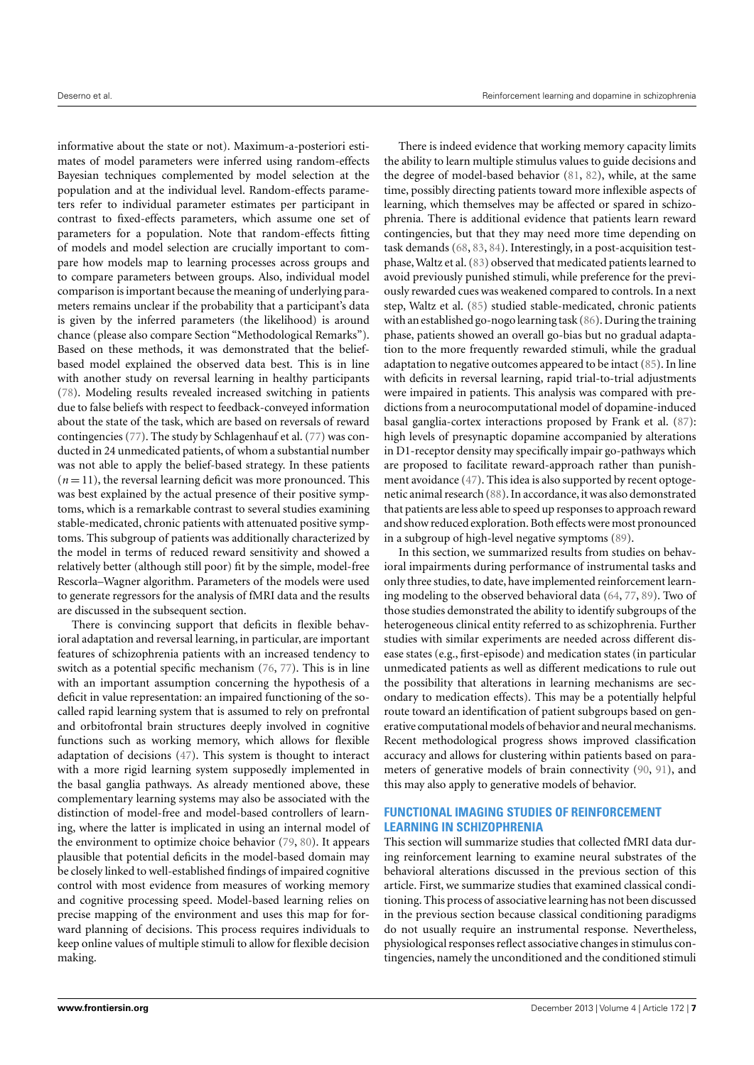informative about the state or not). Maximum-a-posteriori estimates of model parameters were inferred using random-effects Bayesian techniques complemented by model selection at the population and at the individual level. Random-effects parameters refer to individual parameter estimates per participant in contrast to fixed-effects parameters, which assume one set of parameters for a population. Note that random-effects fitting of models and model selection are crucially important to compare how models map to learning processes across groups and to compare parameters between groups. Also, individual model comparison is important because the meaning of underlying parameters remains unclear if the probability that a participant's data is given by the inferred parameters (the likelihood) is around chance (please also compare Section ["Methodological Remarks"](#page-9-0)). Based on these methods, it was demonstrated that the beliefbased model explained the observed data best. This is in line with another study on reversal learning in healthy participants [\(78\)](#page-13-33). Modeling results revealed increased switching in patients due to false beliefs with respect to feedback-conveyed information about the state of the task, which are based on reversals of reward contingencies [\(77\)](#page-13-11). The study by Schlagenhauf et al. [\(77\)](#page-13-11) was conducted in 24 unmedicated patients, of whom a substantial number was not able to apply the belief-based strategy. In these patients  $(n=11)$ , the reversal learning deficit was more pronounced. This was best explained by the actual presence of their positive symptoms, which is a remarkable contrast to several studies examining stable-medicated, chronic patients with attenuated positive symptoms. This subgroup of patients was additionally characterized by the model in terms of reduced reward sensitivity and showed a relatively better (although still poor) fit by the simple, model-free Rescorla–Wagner algorithm. Parameters of the models were used to generate regressors for the analysis of fMRI data and the results are discussed in the subsequent section.

There is convincing support that deficits in flexible behavioral adaptation and reversal learning, in particular, are important features of schizophrenia patients with an increased tendency to switch as a potential specific mechanism [\(76,](#page-13-32) [77\)](#page-13-11). This is in line with an important assumption concerning the hypothesis of a deficit in value representation: an impaired functioning of the socalled rapid learning system that is assumed to rely on prefrontal and orbitofrontal brain structures deeply involved in cognitive functions such as working memory, which allows for flexible adaptation of decisions [\(47\)](#page-13-6). This system is thought to interact with a more rigid learning system supposedly implemented in the basal ganglia pathways. As already mentioned above, these complementary learning systems may also be associated with the distinction of model-free and model-based controllers of learning, where the latter is implicated in using an internal model of the environment to optimize choice behavior [\(79,](#page-13-15) [80\)](#page-13-14). It appears plausible that potential deficits in the model-based domain may be closely linked to well-established findings of impaired cognitive control with most evidence from measures of working memory and cognitive processing speed. Model-based learning relies on precise mapping of the environment and uses this map for forward planning of decisions. This process requires individuals to keep online values of multiple stimuli to allow for flexible decision making.

There is indeed evidence that working memory capacity limits the ability to learn multiple stimulus values to guide decisions and the degree of model-based behavior [\(81,](#page-13-34) [82\)](#page-13-35), while, at the same time, possibly directing patients toward more inflexible aspects of learning, which themselves may be affected or spared in schizophrenia. There is additional evidence that patients learn reward contingencies, but that they may need more time depending on task demands [\(68,](#page-13-27) [83,](#page-13-36) [84\)](#page-14-5). Interestingly, in a post-acquisition testphase,Waltz et al. [\(83\)](#page-13-36) observed that medicated patients learned to avoid previously punished stimuli, while preference for the previously rewarded cues was weakened compared to controls. In a next step, Waltz et al. [\(85\)](#page-14-6) studied stable-medicated, chronic patients with an established go-nogo learning task [\(86\)](#page-14-7). During the training phase, patients showed an overall go-bias but no gradual adaptation to the more frequently rewarded stimuli, while the gradual adaptation to negative outcomes appeared to be intact [\(85\)](#page-14-6). In line with deficits in reversal learning, rapid trial-to-trial adjustments were impaired in patients. This analysis was compared with predictions from a neurocomputational model of dopamine-induced basal ganglia-cortex interactions proposed by Frank et al. [\(87\)](#page-14-8): high levels of presynaptic dopamine accompanied by alterations in D1-receptor density may specifically impair go-pathways which are proposed to facilitate reward-approach rather than punishment avoidance [\(47\)](#page-13-6). This idea is also supported by recent optoge-netic animal research [\(88\)](#page-14-9). In accordance, it was also demonstrated that patients are less able to speed up responses to approach reward and show reduced exploration. Both effects were most pronounced in a subgroup of high-level negative symptoms [\(89\)](#page-14-0).

In this section, we summarized results from studies on behavioral impairments during performance of instrumental tasks and only three studies, to date, have implemented reinforcement learning modeling to the observed behavioral data [\(64,](#page-13-10) [77,](#page-13-11) [89\)](#page-14-0). Two of those studies demonstrated the ability to identify subgroups of the heterogeneous clinical entity referred to as schizophrenia. Further studies with similar experiments are needed across different disease states (e.g., first-episode) and medication states (in particular unmedicated patients as well as different medications to rule out the possibility that alterations in learning mechanisms are secondary to medication effects). This may be a potentially helpful route toward an identification of patient subgroups based on generative computational models of behavior and neural mechanisms. Recent methodological progress shows improved classification accuracy and allows for clustering within patients based on parameters of generative models of brain connectivity [\(90,](#page-14-10) [91\)](#page-14-11), and this may also apply to generative models of behavior.

# **FUNCTIONAL IMAGING STUDIES OF REINFORCEMENT LEARNING IN SCHIZOPHRENIA**

This section will summarize studies that collected fMRI data during reinforcement learning to examine neural substrates of the behavioral alterations discussed in the previous section of this article. First, we summarize studies that examined classical conditioning. This process of associative learning has not been discussed in the previous section because classical conditioning paradigms do not usually require an instrumental response. Nevertheless, physiological responses reflect associative changes in stimulus contingencies, namely the unconditioned and the conditioned stimuli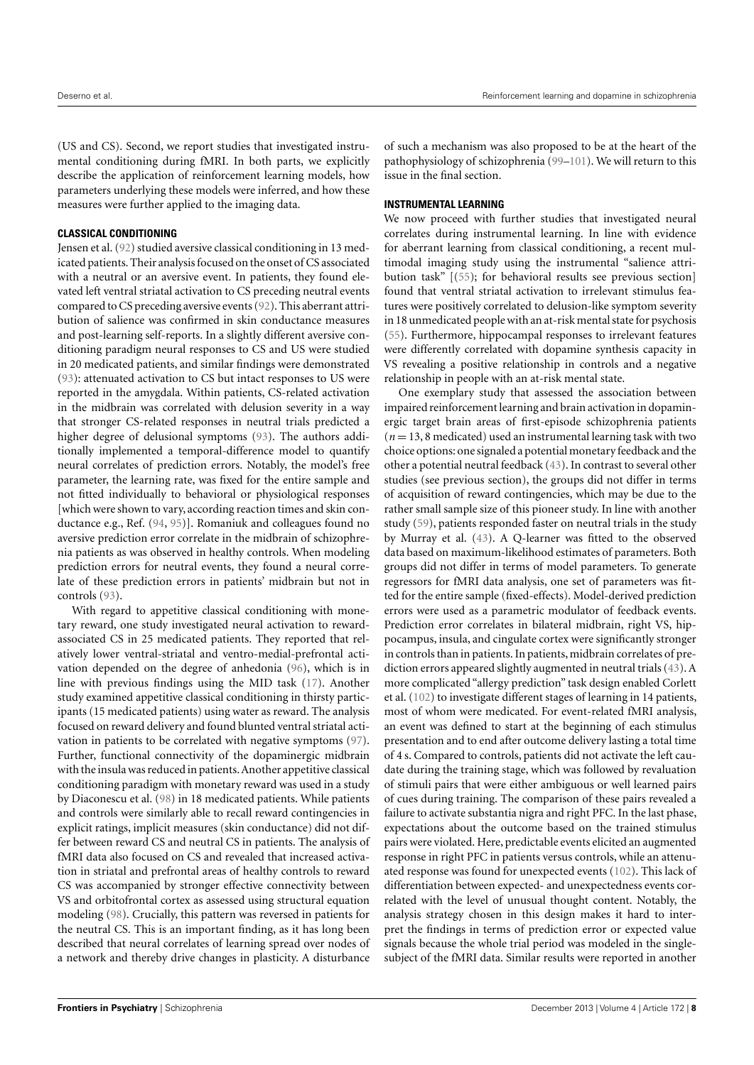(US and CS). Second, we report studies that investigated instrumental conditioning during fMRI. In both parts, we explicitly describe the application of reinforcement learning models, how parameters underlying these models were inferred, and how these measures were further applied to the imaging data.

## **CLASSICAL CONDITIONING**

Jensen et al. [\(92\)](#page-14-12) studied aversive classical conditioning in 13 medicated patients. Their analysis focused on the onset of CS associated with a neutral or an aversive event. In patients, they found elevated left ventral striatal activation to CS preceding neutral events compared to CS preceding aversive events [\(92\)](#page-14-12). This aberrant attribution of salience was confirmed in skin conductance measures and post-learning self-reports. In a slightly different aversive conditioning paradigm neural responses to CS and US were studied in 20 medicated patients, and similar findings were demonstrated [\(93\)](#page-14-3): attenuated activation to CS but intact responses to US were reported in the amygdala. Within patients, CS-related activation in the midbrain was correlated with delusion severity in a way that stronger CS-related responses in neutral trials predicted a higher degree of delusional symptoms [\(93\)](#page-14-3). The authors additionally implemented a temporal-difference model to quantify neural correlates of prediction errors. Notably, the model's free parameter, the learning rate, was fixed for the entire sample and not fitted individually to behavioral or physiological responses [which were shown to vary, according reaction times and skin conductance e.g., Ref. [\(94,](#page-14-13) [95\)](#page-14-14)]. Romaniuk and colleagues found no aversive prediction error correlate in the midbrain of schizophrenia patients as was observed in healthy controls. When modeling prediction errors for neutral events, they found a neural correlate of these prediction errors in patients' midbrain but not in controls [\(93\)](#page-14-3).

With regard to appetitive classical conditioning with monetary reward, one study investigated neural activation to rewardassociated CS in 25 medicated patients. They reported that relatively lower ventral-striatal and ventro-medial-prefrontal activation depended on the degree of anhedonia [\(96\)](#page-14-15), which is in line with previous findings using the MID task [\(17\)](#page-12-14). Another study examined appetitive classical conditioning in thirsty participants (15 medicated patients) using water as reward. The analysis focused on reward delivery and found blunted ventral striatal activation in patients to be correlated with negative symptoms [\(97\)](#page-14-16). Further, functional connectivity of the dopaminergic midbrain with the insula was reduced in patients.Another appetitive classical conditioning paradigm with monetary reward was used in a study by Diaconescu et al. [\(98\)](#page-14-17) in 18 medicated patients. While patients and controls were similarly able to recall reward contingencies in explicit ratings, implicit measures (skin conductance) did not differ between reward CS and neutral CS in patients. The analysis of fMRI data also focused on CS and revealed that increased activation in striatal and prefrontal areas of healthy controls to reward CS was accompanied by stronger effective connectivity between VS and orbitofrontal cortex as assessed using structural equation modeling [\(98\)](#page-14-17). Crucially, this pattern was reversed in patients for the neutral CS. This is an important finding, as it has long been described that neural correlates of learning spread over nodes of a network and thereby drive changes in plasticity. A disturbance

of such a mechanism was also proposed to be at the heart of the pathophysiology of schizophrenia [\(99–](#page-14-18)[101\)](#page-14-19). We will return to this issue in the final section.

# **INSTRUMENTAL LEARNING**

We now proceed with further studies that investigated neural correlates during instrumental learning. In line with evidence for aberrant learning from classical conditioning, a recent multimodal imaging study using the instrumental "salience attribution task" [[\(55\)](#page-13-17); for behavioral results see previous section] found that ventral striatal activation to irrelevant stimulus features were positively correlated to delusion-like symptom severity in 18 unmedicated people with an at-risk mental state for psychosis [\(55\)](#page-13-17). Furthermore, hippocampal responses to irrelevant features were differently correlated with dopamine synthesis capacity in VS revealing a positive relationship in controls and a negative relationship in people with an at-risk mental state.

One exemplary study that assessed the association between impaired reinforcement learning and brain activation in dopaminergic target brain areas of first-episode schizophrenia patients  $(n=13, 8 \text{ mediated})$  used an instrumental learning task with two choice options: one signaled a potential monetary feedback and the other a potential neutral feedback [\(43\)](#page-13-2). In contrast to several other studies (see previous section), the groups did not differ in terms of acquisition of reward contingencies, which may be due to the rather small sample size of this pioneer study. In line with another study [\(59\)](#page-13-21), patients responded faster on neutral trials in the study by Murray et al. [\(43\)](#page-13-2). A Q-learner was fitted to the observed data based on maximum-likelihood estimates of parameters. Both groups did not differ in terms of model parameters. To generate regressors for fMRI data analysis, one set of parameters was fitted for the entire sample (fixed-effects). Model-derived prediction errors were used as a parametric modulator of feedback events. Prediction error correlates in bilateral midbrain, right VS, hippocampus, insula, and cingulate cortex were significantly stronger in controls than in patients. In patients, midbrain correlates of prediction errors appeared slightly augmented in neutral trials [\(43\)](#page-13-2). A more complicated "allergy prediction" task design enabled Corlett et al. [\(102\)](#page-14-20) to investigate different stages of learning in 14 patients, most of whom were medicated. For event-related fMRI analysis, an event was defined to start at the beginning of each stimulus presentation and to end after outcome delivery lasting a total time of 4 s. Compared to controls, patients did not activate the left caudate during the training stage, which was followed by revaluation of stimuli pairs that were either ambiguous or well learned pairs of cues during training. The comparison of these pairs revealed a failure to activate substantia nigra and right PFC. In the last phase, expectations about the outcome based on the trained stimulus pairs were violated. Here, predictable events elicited an augmented response in right PFC in patients versus controls, while an attenuated response was found for unexpected events [\(102\)](#page-14-20). This lack of differentiation between expected- and unexpectedness events correlated with the level of unusual thought content. Notably, the analysis strategy chosen in this design makes it hard to interpret the findings in terms of prediction error or expected value signals because the whole trial period was modeled in the singlesubject of the fMRI data. Similar results were reported in another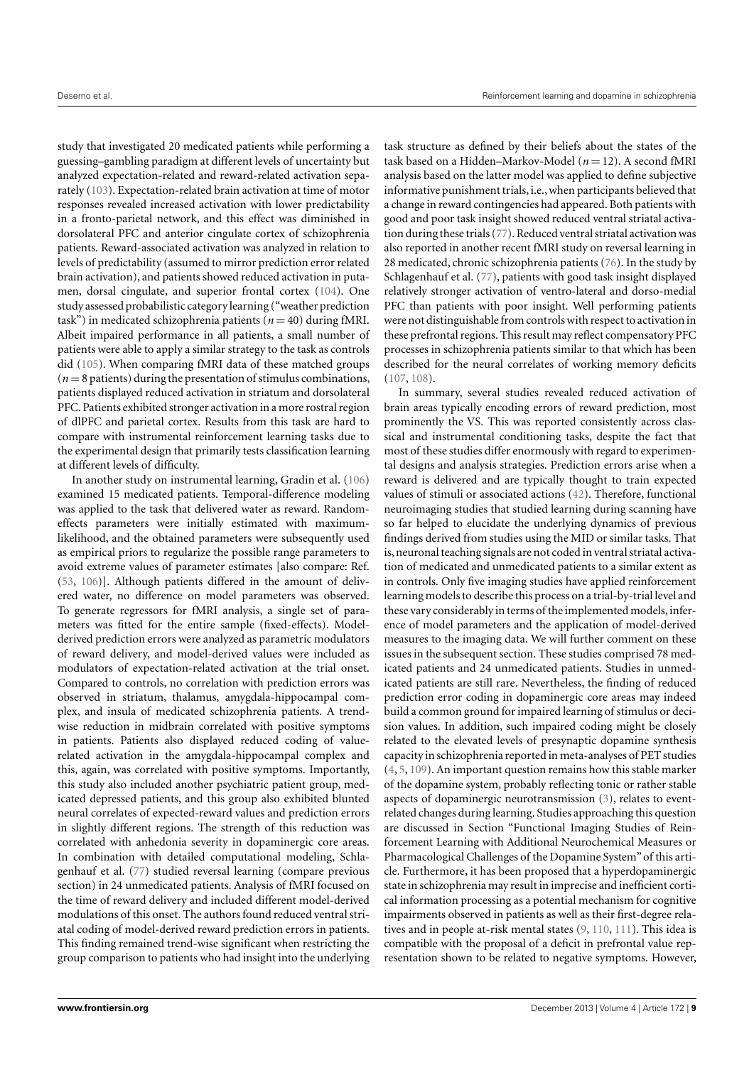study that investigated 20 medicated patients while performing a guessing–gambling paradigm at different levels of uncertainty but analyzed expectation-related and reward-related activation separately [\(103\)](#page-14-1). Expectation-related brain activation at time of motor responses revealed increased activation with lower predictability in a fronto-parietal network, and this effect was diminished in dorsolateral PFC and anterior cingulate cortex of schizophrenia patients. Reward-associated activation was analyzed in relation to levels of predictability (assumed to mirror prediction error related brain activation), and patients showed reduced activation in putamen, dorsal cingulate, and superior frontal cortex [\(104\)](#page-14-21). One study assessed probabilistic category learning ("weather prediction task") in medicated schizophrenia patients ( $n = 40$ ) during fMRI. Albeit impaired performance in all patients, a small number of patients were able to apply a similar strategy to the task as controls did [\(105\)](#page-14-22). When comparing fMRI data of these matched groups  $(n = 8$  patients) during the presentation of stimulus combinations, patients displayed reduced activation in striatum and dorsolateral PFC. Patients exhibited stronger activation in a more rostral region of dlPFC and parietal cortex. Results from this task are hard to compare with instrumental reinforcement learning tasks due to the experimental design that primarily tests classification learning at different levels of difficulty.

In another study on instrumental learning, Gradin et al. [\(106\)](#page-14-2) examined 15 medicated patients. Temporal-difference modeling was applied to the task that delivered water as reward. Randomeffects parameters were initially estimated with maximumlikelihood, and the obtained parameters were subsequently used as empirical priors to regularize the possible range parameters to avoid extreme values of parameter estimates [also compare: Ref. [\(53,](#page-13-13) [106\)](#page-14-2)]. Although patients differed in the amount of delivered water, no difference on model parameters was observed. To generate regressors for fMRI analysis, a single set of parameters was fitted for the entire sample (fixed-effects). Modelderived prediction errors were analyzed as parametric modulators of reward delivery, and model-derived values were included as modulators of expectation-related activation at the trial onset. Compared to controls, no correlation with prediction errors was observed in striatum, thalamus, amygdala-hippocampal complex, and insula of medicated schizophrenia patients. A trendwise reduction in midbrain correlated with positive symptoms in patients. Patients also displayed reduced coding of valuerelated activation in the amygdala-hippocampal complex and this, again, was correlated with positive symptoms. Importantly, this study also included another psychiatric patient group, medicated depressed patients, and this group also exhibited blunted neural correlates of expected-reward values and prediction errors in slightly different regions. The strength of this reduction was correlated with anhedonia severity in dopaminergic core areas. In combination with detailed computational modeling, Schlagenhauf et al. [\(77\)](#page-13-11) studied reversal learning (compare previous section) in 24 unmedicated patients. Analysis of fMRI focused on the time of reward delivery and included different model-derived modulations of this onset. The authors found reduced ventral striatal coding of model-derived reward prediction errors in patients. This finding remained trend-wise significant when restricting the group comparison to patients who had insight into the underlying

task structure as defined by their beliefs about the states of the task based on a Hidden–Markov-Model (*n* = 12). A second fMRI analysis based on the latter model was applied to define subjective informative punishment trials, i.e., when participants believed that a change in reward contingencies had appeared. Both patients with good and poor task insight showed reduced ventral striatal activation during these trials [\(77\)](#page-13-11). Reduced ventral striatal activation was also reported in another recent fMRI study on reversal learning in 28 medicated, chronic schizophrenia patients [\(76\)](#page-13-32). In the study by Schlagenhauf et al. [\(77\)](#page-13-11), patients with good task insight displayed relatively stronger activation of ventro-lateral and dorso-medial PFC than patients with poor insight. Well performing patients were not distinguishable from controls with respect to activation in these prefrontal regions. This result may reflect compensatory PFC processes in schizophrenia patients similar to that which has been described for the neural correlates of working memory deficits [\(107,](#page-14-23) [108\)](#page-14-24).

In summary, several studies revealed reduced activation of brain areas typically encoding errors of reward prediction, most prominently the VS. This was reported consistently across classical and instrumental conditioning tasks, despite the fact that most of these studies differ enormously with regard to experimental designs and analysis strategies. Prediction errors arise when a reward is delivered and are typically thought to train expected values of stimuli or associated actions [\(42\)](#page-13-1). Therefore, functional neuroimaging studies that studied learning during scanning have so far helped to elucidate the underlying dynamics of previous findings derived from studies using the MID or similar tasks. That is, neuronal teaching signals are not coded in ventral striatal activation of medicated and unmedicated patients to a similar extent as in controls. Only five imaging studies have applied reinforcement learning models to describe this process on a trial-by-trial level and these vary considerably in terms of the implemented models, inference of model parameters and the application of model-derived measures to the imaging data. We will further comment on these issues in the subsequent section. These studies comprised 78 medicated patients and 24 unmedicated patients. Studies in unmedicated patients are still rare. Nevertheless, the finding of reduced prediction error coding in dopaminergic core areas may indeed build a common ground for impaired learning of stimulus or decision values. In addition, such impaired coding might be closely related to the elevated levels of presynaptic dopamine synthesis capacity in schizophrenia reported in meta-analyses of PET studies [\(4,](#page-12-3) [5,](#page-12-4) [109\)](#page-14-25). An important question remains how this stable marker of the dopamine system, probably reflecting tonic or rather stable aspects of dopaminergic neurotransmission [\(3\)](#page-12-2), relates to eventrelated changes during learning. Studies approaching this question are discussed in Section ["Functional Imaging Studies of Rein](#page-9-1)[forcement Learning with Additional Neurochemical Measures or](#page-9-1) [Pharmacological Challenges of the Dopamine System"](#page-9-1) of this article. Furthermore, it has been proposed that a hyperdopaminergic state in schizophrenia may result in imprecise and inefficient cortical information processing as a potential mechanism for cognitive impairments observed in patients as well as their first-degree relatives and in people at-risk mental states [\(9,](#page-12-7) [110,](#page-14-26) [111\)](#page-14-27). This idea is compatible with the proposal of a deficit in prefrontal value representation shown to be related to negative symptoms. However,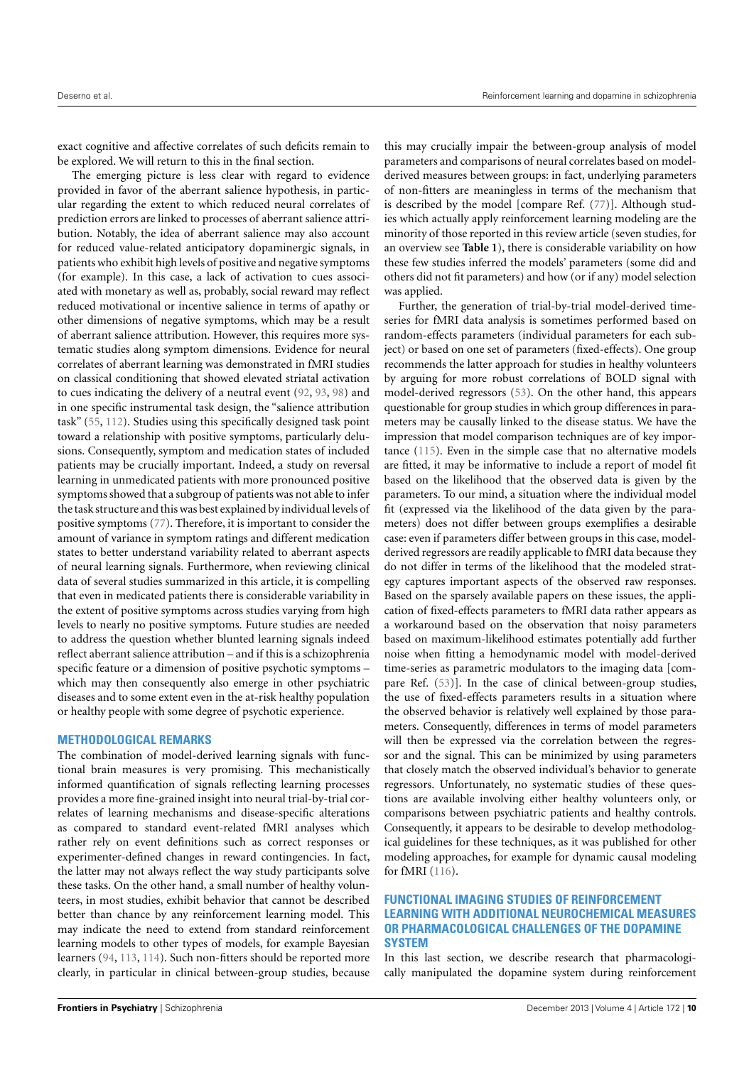exact cognitive and affective correlates of such deficits remain to be explored. We will return to this in the final section.

The emerging picture is less clear with regard to evidence provided in favor of the aberrant salience hypothesis, in particular regarding the extent to which reduced neural correlates of prediction errors are linked to processes of aberrant salience attribution. Notably, the idea of aberrant salience may also account for reduced value-related anticipatory dopaminergic signals, in patients who exhibit high levels of positive and negative symptoms (for example). In this case, a lack of activation to cues associated with monetary as well as, probably, social reward may reflect reduced motivational or incentive salience in terms of apathy or other dimensions of negative symptoms, which may be a result of aberrant salience attribution. However, this requires more systematic studies along symptom dimensions. Evidence for neural correlates of aberrant learning was demonstrated in fMRI studies on classical conditioning that showed elevated striatal activation to cues indicating the delivery of a neutral event [\(92,](#page-14-12) [93,](#page-14-3) [98\)](#page-14-17) and in one specific instrumental task design, the "salience attribution task" [\(55,](#page-13-17) [112\)](#page-14-28). Studies using this specifically designed task point toward a relationship with positive symptoms, particularly delusions. Consequently, symptom and medication states of included patients may be crucially important. Indeed, a study on reversal learning in unmedicated patients with more pronounced positive symptoms showed that a subgroup of patients was not able to infer the task structure and this was best explained by individual levels of positive symptoms [\(77\)](#page-13-11). Therefore, it is important to consider the amount of variance in symptom ratings and different medication states to better understand variability related to aberrant aspects of neural learning signals. Furthermore, when reviewing clinical data of several studies summarized in this article, it is compelling that even in medicated patients there is considerable variability in the extent of positive symptoms across studies varying from high levels to nearly no positive symptoms. Future studies are needed to address the question whether blunted learning signals indeed reflect aberrant salience attribution – and if this is a schizophrenia specific feature or a dimension of positive psychotic symptoms – which may then consequently also emerge in other psychiatric diseases and to some extent even in the at-risk healthy population or healthy people with some degree of psychotic experience.

# <span id="page-9-0"></span>**METHODOLOGICAL REMARKS**

The combination of model-derived learning signals with functional brain measures is very promising. This mechanistically informed quantification of signals reflecting learning processes provides a more fine-grained insight into neural trial-by-trial correlates of learning mechanisms and disease-specific alterations as compared to standard event-related fMRI analyses which rather rely on event definitions such as correct responses or experimenter-defined changes in reward contingencies. In fact, the latter may not always reflect the way study participants solve these tasks. On the other hand, a small number of healthy volunteers, in most studies, exhibit behavior that cannot be described better than chance by any reinforcement learning model. This may indicate the need to extend from standard reinforcement learning models to other types of models, for example Bayesian learners [\(94,](#page-14-13) [113,](#page-14-29) [114\)](#page-14-30). Such non-fitters should be reported more clearly, in particular in clinical between-group studies, because this may crucially impair the between-group analysis of model parameters and comparisons of neural correlates based on modelderived measures between groups: in fact, underlying parameters of non-fitters are meaningless in terms of the mechanism that is described by the model [compare Ref. [\(77\)](#page-13-11)]. Although studies which actually apply reinforcement learning modeling are the minority of those reported in this review article (seven studies, for an overview see **[Table 1](#page-3-1)**), there is considerable variability on how these few studies inferred the models' parameters (some did and others did not fit parameters) and how (or if any) model selection was applied.

Further, the generation of trial-by-trial model-derived timeseries for fMRI data analysis is sometimes performed based on random-effects parameters (individual parameters for each subject) or based on one set of parameters (fixed-effects). One group recommends the latter approach for studies in healthy volunteers by arguing for more robust correlations of BOLD signal with model-derived regressors [\(53\)](#page-13-13). On the other hand, this appears questionable for group studies in which group differences in parameters may be causally linked to the disease status. We have the impression that model comparison techniques are of key importance [\(115\)](#page-14-4). Even in the simple case that no alternative models are fitted, it may be informative to include a report of model fit based on the likelihood that the observed data is given by the parameters. To our mind, a situation where the individual model fit (expressed via the likelihood of the data given by the parameters) does not differ between groups exemplifies a desirable case: even if parameters differ between groups in this case, modelderived regressors are readily applicable to fMRI data because they do not differ in terms of the likelihood that the modeled strategy captures important aspects of the observed raw responses. Based on the sparsely available papers on these issues, the application of fixed-effects parameters to fMRI data rather appears as a workaround based on the observation that noisy parameters based on maximum-likelihood estimates potentially add further noise when fitting a hemodynamic model with model-derived time-series as parametric modulators to the imaging data [compare Ref. [\(53\)](#page-13-13)]. In the case of clinical between-group studies, the use of fixed-effects parameters results in a situation where the observed behavior is relatively well explained by those parameters. Consequently, differences in terms of model parameters will then be expressed via the correlation between the regressor and the signal. This can be minimized by using parameters that closely match the observed individual's behavior to generate regressors. Unfortunately, no systematic studies of these questions are available involving either healthy volunteers only, or comparisons between psychiatric patients and healthy controls. Consequently, it appears to be desirable to develop methodological guidelines for these techniques, as it was published for other modeling approaches, for example for dynamic causal modeling for fMRI [\(116\)](#page-14-31).

# <span id="page-9-1"></span>**FUNCTIONAL IMAGING STUDIES OF REINFORCEMENT LEARNING WITH ADDITIONAL NEUROCHEMICAL MEASURES OR PHARMACOLOGICAL CHALLENGES OF THE DOPAMINE SYSTEM**

In this last section, we describe research that pharmacologically manipulated the dopamine system during reinforcement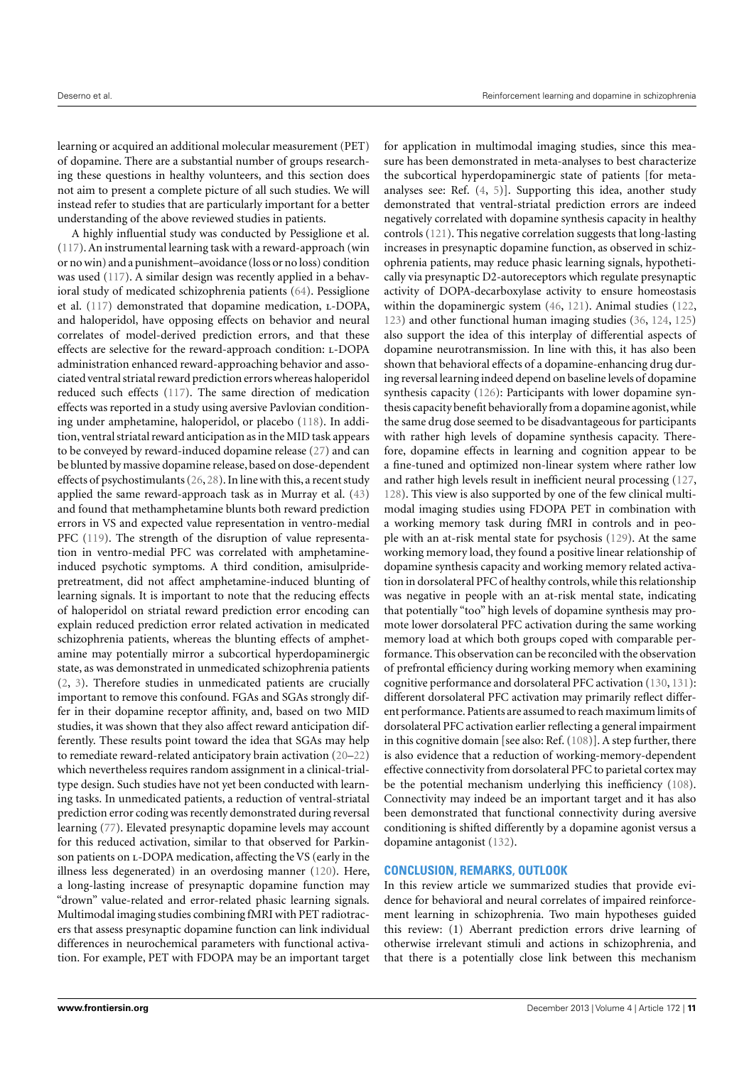learning or acquired an additional molecular measurement (PET) of dopamine. There are a substantial number of groups researching these questions in healthy volunteers, and this section does not aim to present a complete picture of all such studies. We will instead refer to studies that are particularly important for a better understanding of the above reviewed studies in patients.

A highly influential study was conducted by Pessiglione et al. [\(117\)](#page-14-32). An instrumental learning task with a reward-approach (win or no win) and a punishment–avoidance (loss or no loss) condition was used [\(117\)](#page-14-32). A similar design was recently applied in a behavioral study of medicated schizophrenia patients [\(64\)](#page-13-10). Pessiglione et al. [\(117\)](#page-14-32) demonstrated that dopamine medication, L-DOPA, and haloperidol, have opposing effects on behavior and neural correlates of model-derived prediction errors, and that these effects are selective for the reward-approach condition: l-DOPA administration enhanced reward-approaching behavior and associated ventral striatal reward prediction errors whereas haloperidol reduced such effects [\(117\)](#page-14-32). The same direction of medication effects was reported in a study using aversive Pavlovian conditioning under amphetamine, haloperidol, or placebo [\(118\)](#page-14-33). In addition, ventral striatal reward anticipation as in the MID task appears to be conveyed by reward-induced dopamine release [\(27\)](#page-12-24) and can be blunted by massive dopamine release, based on dose-dependent effects of psychostimulants [\(26,](#page-12-23) [28\)](#page-12-25). In line with this, a recent study applied the same reward-approach task as in Murray et al. [\(43\)](#page-13-2) and found that methamphetamine blunts both reward prediction errors in VS and expected value representation in ventro-medial PFC [\(119\)](#page-14-34). The strength of the disruption of value representation in ventro-medial PFC was correlated with amphetamineinduced psychotic symptoms. A third condition, amisulpridepretreatment, did not affect amphetamine-induced blunting of learning signals. It is important to note that the reducing effects of haloperidol on striatal reward prediction error encoding can explain reduced prediction error related activation in medicated schizophrenia patients, whereas the blunting effects of amphetamine may potentially mirror a subcortical hyperdopaminergic state, as was demonstrated in unmedicated schizophrenia patients [\(2,](#page-12-1) [3\)](#page-12-2). Therefore studies in unmedicated patients are crucially important to remove this confound. FGAs and SGAs strongly differ in their dopamine receptor affinity, and, based on two MID studies, it was shown that they also affect reward anticipation differently. These results point toward the idea that SGAs may help to remediate reward-related anticipatory brain activation [\(20–](#page-12-17)[22\)](#page-12-19) which nevertheless requires random assignment in a clinical-trialtype design. Such studies have not yet been conducted with learning tasks. In unmedicated patients, a reduction of ventral-striatal prediction error coding was recently demonstrated during reversal learning [\(77\)](#page-13-11). Elevated presynaptic dopamine levels may account for this reduced activation, similar to that observed for Parkinson patients on L-DOPA medication, affecting the VS (early in the illness less degenerated) in an overdosing manner [\(120\)](#page-14-35). Here, a long-lasting increase of presynaptic dopamine function may "drown" value-related and error-related phasic learning signals. Multimodal imaging studies combining fMRI with PET radiotracers that assess presynaptic dopamine function can link individual differences in neurochemical parameters with functional activation. For example, PET with FDOPA may be an important target

for application in multimodal imaging studies, since this measure has been demonstrated in meta-analyses to best characterize the subcortical hyperdopaminergic state of patients [for metaanalyses see: Ref. [\(4,](#page-12-3) [5\)](#page-12-4)]. Supporting this idea, another study demonstrated that ventral-striatal prediction errors are indeed negatively correlated with dopamine synthesis capacity in healthy controls [\(121\)](#page-14-36). This negative correlation suggests that long-lasting increases in presynaptic dopamine function, as observed in schizophrenia patients, may reduce phasic learning signals, hypothetically via presynaptic D2-autoreceptors which regulate presynaptic activity of DOPA-decarboxylase activity to ensure homeostasis within the dopaminergic system [\(46,](#page-13-5) [121\)](#page-14-36). Animal studies [\(122,](#page-14-37) [123\)](#page-14-38) and other functional human imaging studies [\(36,](#page-12-34) [124,](#page-14-39) [125\)](#page-14-40) also support the idea of this interplay of differential aspects of dopamine neurotransmission. In line with this, it has also been shown that behavioral effects of a dopamine-enhancing drug during reversal learning indeed depend on baseline levels of dopamine synthesis capacity [\(126\)](#page-15-1): Participants with lower dopamine synthesis capacity benefit behaviorally from a dopamine agonist, while the same drug dose seemed to be disadvantageous for participants with rather high levels of dopamine synthesis capacity. Therefore, dopamine effects in learning and cognition appear to be a fine-tuned and optimized non-linear system where rather low and rather high levels result in inefficient neural processing [\(127,](#page-15-2) [128\)](#page-15-3). This view is also supported by one of the few clinical multimodal imaging studies using FDOPA PET in combination with a working memory task during fMRI in controls and in people with an at-risk mental state for psychosis [\(129\)](#page-15-4). At the same working memory load, they found a positive linear relationship of dopamine synthesis capacity and working memory related activation in dorsolateral PFC of healthy controls, while this relationship was negative in people with an at-risk mental state, indicating that potentially "too" high levels of dopamine synthesis may promote lower dorsolateral PFC activation during the same working memory load at which both groups coped with comparable performance. This observation can be reconciled with the observation of prefrontal efficiency during working memory when examining cognitive performance and dorsolateral PFC activation [\(130,](#page-15-5) [131\)](#page-15-6): different dorsolateral PFC activation may primarily reflect different performance. Patients are assumed to reach maximum limits of dorsolateral PFC activation earlier reflecting a general impairment in this cognitive domain [see also: Ref. [\(108\)](#page-14-24)]. A step further, there is also evidence that a reduction of working-memory-dependent effective connectivity from dorsolateral PFC to parietal cortex may be the potential mechanism underlying this inefficiency [\(108\)](#page-14-24). Connectivity may indeed be an important target and it has also been demonstrated that functional connectivity during aversive conditioning is shifted differently by a dopamine agonist versus a dopamine antagonist [\(132\)](#page-15-7).

# **CONCLUSION, REMARKS, OUTLOOK**

In this review article we summarized studies that provide evidence for behavioral and neural correlates of impaired reinforcement learning in schizophrenia. Two main hypotheses guided this review: (1) Aberrant prediction errors drive learning of otherwise irrelevant stimuli and actions in schizophrenia, and that there is a potentially close link between this mechanism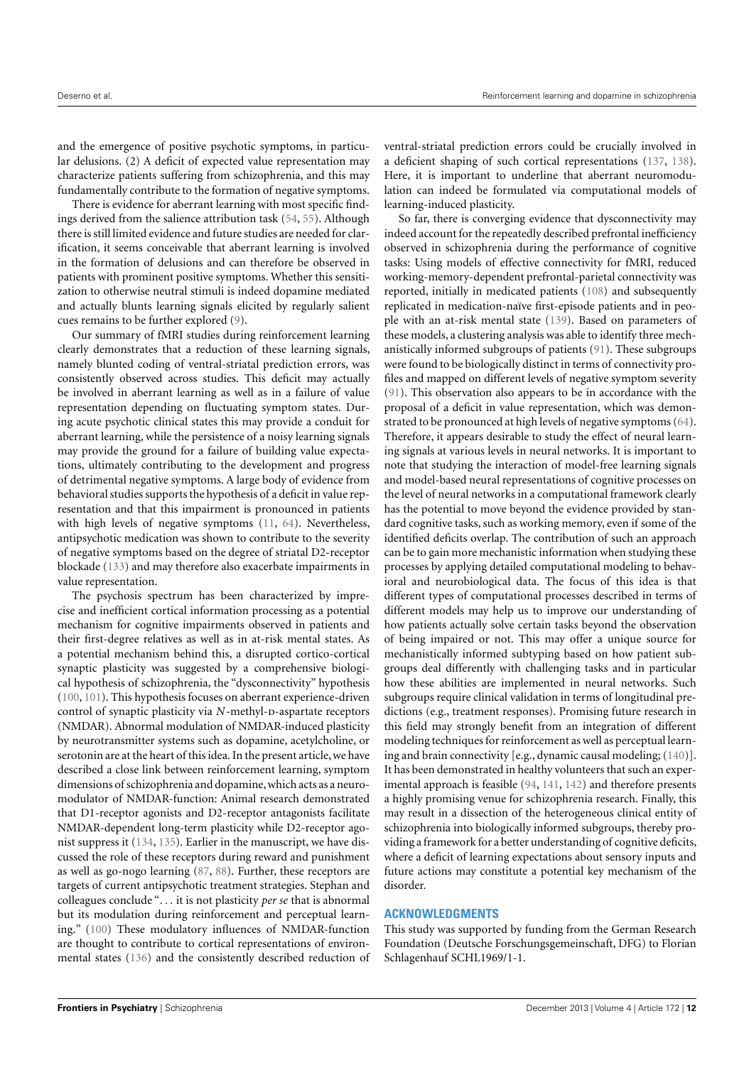and the emergence of positive psychotic symptoms, in particular delusions. (2) A deficit of expected value representation may characterize patients suffering from schizophrenia, and this may fundamentally contribute to the formation of negative symptoms.

There is evidence for aberrant learning with most specific findings derived from the salience attribution task [\(54,](#page-13-16) [55\)](#page-13-17). Although there is still limited evidence and future studies are needed for clarification, it seems conceivable that aberrant learning is involved in the formation of delusions and can therefore be observed in patients with prominent positive symptoms. Whether this sensitization to otherwise neutral stimuli is indeed dopamine mediated and actually blunts learning signals elicited by regularly salient cues remains to be further explored [\(9\)](#page-12-7).

Our summary of fMRI studies during reinforcement learning clearly demonstrates that a reduction of these learning signals, namely blunted coding of ventral-striatal prediction errors, was consistently observed across studies. This deficit may actually be involved in aberrant learning as well as in a failure of value representation depending on fluctuating symptom states. During acute psychotic clinical states this may provide a conduit for aberrant learning, while the persistence of a noisy learning signals may provide the ground for a failure of building value expectations, ultimately contributing to the development and progress of detrimental negative symptoms. A large body of evidence from behavioral studies supports the hypothesis of a deficit in value representation and that this impairment is pronounced in patients with high levels of negative symptoms [\(11,](#page-12-8) [64\)](#page-13-10). Nevertheless, antipsychotic medication was shown to contribute to the severity of negative symptoms based on the degree of striatal D2-receptor blockade [\(133\)](#page-15-8) and may therefore also exacerbate impairments in value representation.

The psychosis spectrum has been characterized by imprecise and inefficient cortical information processing as a potential mechanism for cognitive impairments observed in patients and their first-degree relatives as well as in at-risk mental states. As a potential mechanism behind this, a disrupted cortico-cortical synaptic plasticity was suggested by a comprehensive biological hypothesis of schizophrenia, the "dysconnectivity" hypothesis [\(100,](#page-14-41) [101\)](#page-14-19). This hypothesis focuses on aberrant experience-driven control of synaptic plasticity via *N*-methyl-D-aspartate receptors (NMDAR). Abnormal modulation of NMDAR-induced plasticity by neurotransmitter systems such as dopamine, acetylcholine, or serotonin are at the heart of this idea. In the present article, we have described a close link between reinforcement learning, symptom dimensions of schizophrenia and dopamine,which acts as a neuromodulator of NMDAR-function: Animal research demonstrated that D1-receptor agonists and D2-receptor antagonists facilitate NMDAR-dependent long-term plasticity while D2-receptor agonist suppress it [\(134,](#page-15-9) [135\)](#page-15-10). Earlier in the manuscript, we have discussed the role of these receptors during reward and punishment as well as go-nogo learning [\(87,](#page-14-8) [88\)](#page-14-9). Further, these receptors are targets of current antipsychotic treatment strategies. Stephan and colleagues conclude ". . . it is not plasticity *per se* that is abnormal but its modulation during reinforcement and perceptual learning." [\(100\)](#page-14-41) These modulatory influences of NMDAR-function are thought to contribute to cortical representations of environmental states [\(136\)](#page-15-11) and the consistently described reduction of

ventral-striatal prediction errors could be crucially involved in a deficient shaping of such cortical representations [\(137,](#page-15-12) [138\)](#page-15-13). Here, it is important to underline that aberrant neuromodulation can indeed be formulated via computational models of learning-induced plasticity.

So far, there is converging evidence that dysconnectivity may indeed account for the repeatedly described prefrontal inefficiency observed in schizophrenia during the performance of cognitive tasks: Using models of effective connectivity for fMRI, reduced working-memory-dependent prefrontal-parietal connectivity was reported, initially in medicated patients [\(108\)](#page-14-24) and subsequently replicated in medication-naïve first-episode patients and in people with an at-risk mental state [\(139\)](#page-15-14). Based on parameters of these models, a clustering analysis was able to identify three mechanistically informed subgroups of patients [\(91\)](#page-14-11). These subgroups were found to be biologically distinct in terms of connectivity profiles and mapped on different levels of negative symptom severity [\(91\)](#page-14-11). This observation also appears to be in accordance with the proposal of a deficit in value representation, which was demonstrated to be pronounced at high levels of negative symptoms [\(64\)](#page-13-10). Therefore, it appears desirable to study the effect of neural learning signals at various levels in neural networks. It is important to note that studying the interaction of model-free learning signals and model-based neural representations of cognitive processes on the level of neural networks in a computational framework clearly has the potential to move beyond the evidence provided by standard cognitive tasks, such as working memory, even if some of the identified deficits overlap. The contribution of such an approach can be to gain more mechanistic information when studying these processes by applying detailed computational modeling to behavioral and neurobiological data. The focus of this idea is that different types of computational processes described in terms of different models may help us to improve our understanding of how patients actually solve certain tasks beyond the observation of being impaired or not. This may offer a unique source for mechanistically informed subtyping based on how patient subgroups deal differently with challenging tasks and in particular how these abilities are implemented in neural networks. Such subgroups require clinical validation in terms of longitudinal predictions (e.g., treatment responses). Promising future research in this field may strongly benefit from an integration of different modeling techniques for reinforcement as well as perceptual learning and brain connectivity [e.g., dynamic causal modeling; [\(140\)](#page-15-15)]. It has been demonstrated in healthy volunteers that such an experimental approach is feasible [\(94,](#page-14-13) [141,](#page-15-16) [142\)](#page-15-17) and therefore presents a highly promising venue for schizophrenia research. Finally, this may result in a dissection of the heterogeneous clinical entity of schizophrenia into biologically informed subgroups, thereby providing a framework for a better understanding of cognitive deficits, where a deficit of learning expectations about sensory inputs and future actions may constitute a potential key mechanism of the disorder.

#### **ACKNOWLEDGMENTS**

This study was supported by funding from the German Research Foundation (Deutsche Forschungsgemeinschaft, DFG) to Florian Schlagenhauf SCHL1969/1-1.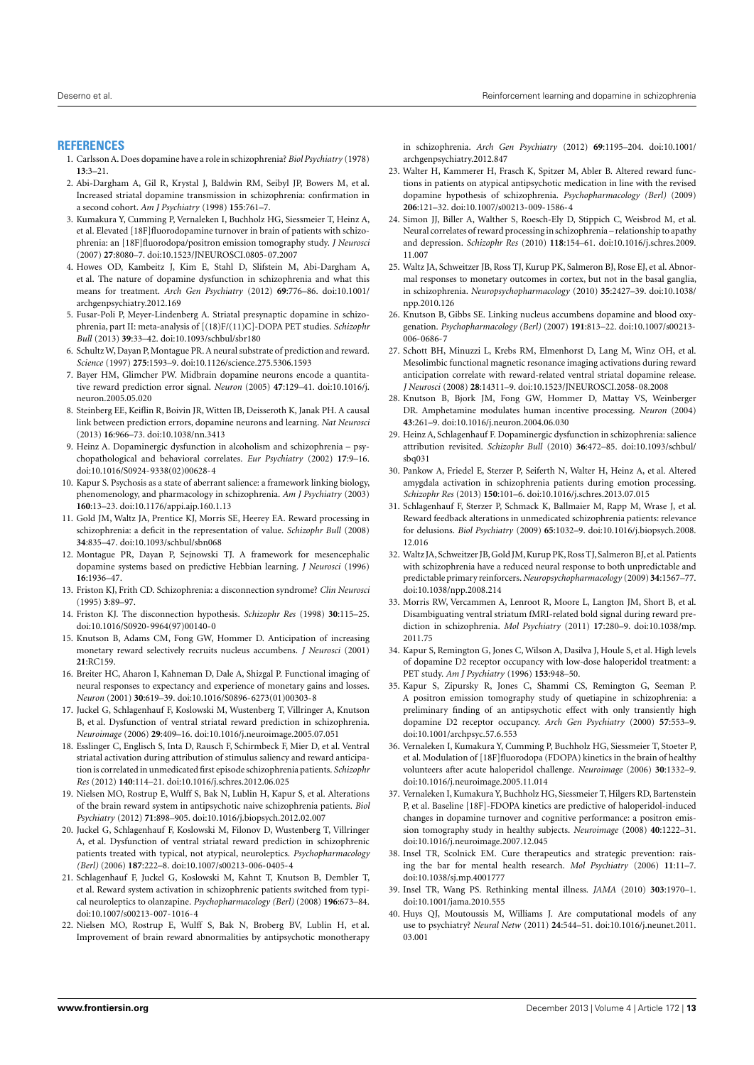#### **REFERENCES**

- <span id="page-12-0"></span>1. Carlsson A. Does dopamine have a role in schizophrenia? *Biol Psychiatry* (1978) **13**:3–21.
- <span id="page-12-1"></span>2. Abi-Dargham A, Gil R, Krystal J, Baldwin RM, Seibyl JP, Bowers M, et al. Increased striatal dopamine transmission in schizophrenia: confirmation in a second cohort. *Am J Psychiatry* (1998) **155**:761–7.
- <span id="page-12-2"></span>3. Kumakura Y, Cumming P, Vernaleken I, Buchholz HG, Siessmeier T, Heinz A, et al. Elevated [18F]fluorodopamine turnover in brain of patients with schizophrenia: an [18F]fluorodopa/positron emission tomography study. *J Neurosci* (2007) **27**:8080–7. doi[:10.1523/JNEUROSCI.0805-07.2007](http://dx.doi.org/10.1523/JNEUROSCI.0805-07.2007)
- <span id="page-12-3"></span>4. Howes OD, Kambeitz J, Kim E, Stahl D, Slifstein M, Abi-Dargham A, et al. The nature of dopamine dysfunction in schizophrenia and what this means for treatment. *Arch Gen Psychiatry* (2012) **69**:776–86. doi[:10.1001/](http://dx.doi.org/10.1001/archgenpsychiatry.2012.169) [archgenpsychiatry.2012.169](http://dx.doi.org/10.1001/archgenpsychiatry.2012.169)
- <span id="page-12-4"></span>5. Fusar-Poli P, Meyer-Lindenberg A. Striatal presynaptic dopamine in schizophrenia, part II: meta-analysis of [(18)F/(11)C]-DOPA PET studies. *Schizophr Bull* (2013) **39**:33–42. doi[:10.1093/schbul/sbr180](http://dx.doi.org/10.1093/schbul/sbr180)
- <span id="page-12-5"></span>6. SchultzW, Dayan P,Montague PR. A neural substrate of prediction and reward. *Science* (1997) **275**:1593–9. doi[:10.1126/science.275.5306.1593](http://dx.doi.org/10.1126/science.275.5306.1593)
- 7. Bayer HM, Glimcher PW. Midbrain dopamine neurons encode a quantitative reward prediction error signal. *Neuron* (2005) **47**:129–41. doi[:10.1016/j.](http://dx.doi.org/10.1016/j.neuron.2005.05.020) [neuron.2005.05.020](http://dx.doi.org/10.1016/j.neuron.2005.05.020)
- <span id="page-12-6"></span>8. Steinberg EE, Keiflin R, Boivin JR, Witten IB, Deisseroth K, Janak PH. A causal link between prediction errors, dopamine neurons and learning. *Nat Neurosci* (2013) **16**:966–73. doi[:10.1038/nn.3413](http://dx.doi.org/10.1038/nn.3413)
- <span id="page-12-7"></span>9. Heinz A. Dopaminergic dysfunction in alcoholism and schizophrenia – psychopathological and behavioral correlates. *Eur Psychiatry* (2002) **17**:9–16. doi[:10.1016/S0924-9338\(02\)00628-4](http://dx.doi.org/10.1016/S0924-9338(02)00628-4)
- <span id="page-12-26"></span>10. Kapur S. Psychosis as a state of aberrant salience: a framework linking biology, phenomenology, and pharmacology in schizophrenia. *Am J Psychiatry* (2003) **160**:13–23. doi[:10.1176/appi.ajp.160.1.13](http://dx.doi.org/10.1176/appi.ajp.160.1.13)
- <span id="page-12-8"></span>11. Gold JM, Waltz JA, Prentice KJ, Morris SE, Heerey EA. Reward processing in schizophrenia: a deficit in the representation of value. *Schizophr Bull* (2008) **34**:835–47. doi[:10.1093/schbul/sbn068](http://dx.doi.org/10.1093/schbul/sbn068)
- <span id="page-12-9"></span>12. Montague PR, Dayan P, Sejnowski TJ. A framework for mesencephalic dopamine systems based on predictive Hebbian learning. *J Neurosci* (1996) **16**:1936–47.
- <span id="page-12-10"></span>13. Friston KJ, Frith CD. Schizophrenia: a disconnection syndrome? *Clin Neurosci* (1995) **3**:89–97.
- <span id="page-12-11"></span>14. Friston KJ. The disconnection hypothesis. *Schizophr Res* (1998) **30**:115–25. doi[:10.1016/S0920-9964\(97\)00140-0](http://dx.doi.org/10.1016/S0920-9964(97)00140-0)
- <span id="page-12-12"></span>15. Knutson B, Adams CM, Fong GW, Hommer D. Anticipation of increasing monetary reward selectively recruits nucleus accumbens. *J Neurosci* (2001) **21**:RC159.
- <span id="page-12-13"></span>16. Breiter HC, Aharon I, Kahneman D, Dale A, Shizgal P. Functional imaging of neural responses to expectancy and experience of monetary gains and losses. *Neuron* (2001) **30**:619–39. doi[:10.1016/S0896-6273\(01\)00303-8](http://dx.doi.org/10.1016/S0896-6273(01)00303-8)
- <span id="page-12-14"></span>17. Juckel G, Schlagenhauf F, Koslowski M, Wustenberg T, Villringer A, Knutson B, et al. Dysfunction of ventral striatal reward prediction in schizophrenia. *Neuroimage* (2006) **29**:409–16. doi[:10.1016/j.neuroimage.2005.07.051](http://dx.doi.org/10.1016/j.neuroimage.2005.07.051)
- <span id="page-12-15"></span>18. Esslinger C, Englisch S, Inta D, Rausch F, Schirmbeck F, Mier D, et al. Ventral striatal activation during attribution of stimulus saliency and reward anticipation is correlated in unmedicated first episode schizophrenia patients. *Schizophr Res* (2012) **140**:114–21. doi[:10.1016/j.schres.2012.06.025](http://dx.doi.org/10.1016/j.schres.2012.06.025)
- <span id="page-12-16"></span>19. Nielsen MO, Rostrup E, Wulff S, Bak N, Lublin H, Kapur S, et al. Alterations of the brain reward system in antipsychotic naive schizophrenia patients. *Biol Psychiatry* (2012) **71**:898–905. doi[:10.1016/j.biopsych.2012.02.007](http://dx.doi.org/10.1016/j.biopsych.2012.02.007)
- <span id="page-12-17"></span>20. Juckel G, Schlagenhauf F, Koslowski M, Filonov D, Wustenberg T, Villringer A, et al. Dysfunction of ventral striatal reward prediction in schizophrenic patients treated with typical, not atypical, neuroleptics. *Psychopharmacology (Berl)* (2006) **187**:222–8. doi[:10.1007/s00213-006-0405-4](http://dx.doi.org/10.1007/s00213-006-0405-4)
- <span id="page-12-18"></span>21. Schlagenhauf F, Juckel G, Koslowski M, Kahnt T, Knutson B, Dembler T, et al. Reward system activation in schizophrenic patients switched from typical neuroleptics to olanzapine. *Psychopharmacology (Berl)* (2008) **196**:673–84. doi[:10.1007/s00213-007-1016-4](http://dx.doi.org/10.1007/s00213-007-1016-4)
- <span id="page-12-19"></span>22. Nielsen MO, Rostrup E, Wulff S, Bak N, Broberg BV, Lublin H, et al. Improvement of brain reward abnormalities by antipsychotic monotherapy

in schizophrenia. *Arch Gen Psychiatry* (2012) **69**:1195–204. doi[:10.1001/](http://dx.doi.org/10.1001/archgenpsychiatry.2012.847) [archgenpsychiatry.2012.847](http://dx.doi.org/10.1001/archgenpsychiatry.2012.847)

- <span id="page-12-20"></span>23. Walter H, Kammerer H, Frasch K, Spitzer M, Abler B. Altered reward functions in patients on atypical antipsychotic medication in line with the revised dopamine hypothesis of schizophrenia. *Psychopharmacology (Berl)* (2009) **206**:121–32. doi[:10.1007/s00213-009-1586-4](http://dx.doi.org/10.1007/s00213-009-1586-4)
- <span id="page-12-22"></span>24. Simon JJ, Biller A, Walther S, Roesch-Ely D, Stippich C, Weisbrod M, et al. Neural correlates of reward processing in schizophrenia – relationship to apathy and depression. *Schizophr Res* (2010) **118**:154–61. doi[:10.1016/j.schres.2009.](http://dx.doi.org/10.1016/j.schres.2009.11.007) [11.007](http://dx.doi.org/10.1016/j.schres.2009.11.007)
- <span id="page-12-21"></span>25. Waltz JA, Schweitzer JB, Ross TJ, Kurup PK, Salmeron BJ, Rose EJ, et al. Abnormal responses to monetary outcomes in cortex, but not in the basal ganglia, in schizophrenia. *Neuropsychopharmacology* (2010) **35**:2427–39. doi[:10.1038/](http://dx.doi.org/10.1038/npp.2010.126) [npp.2010.126](http://dx.doi.org/10.1038/npp.2010.126)
- <span id="page-12-23"></span>26. Knutson B, Gibbs SE. Linking nucleus accumbens dopamine and blood oxygenation. *Psychopharmacology (Berl)* (2007) **191**:813–22. doi[:10.1007/s00213-](http://dx.doi.org/10.1007/s00213-006-0686-7) [006-0686-7](http://dx.doi.org/10.1007/s00213-006-0686-7)
- <span id="page-12-24"></span>27. Schott BH, Minuzzi L, Krebs RM, Elmenhorst D, Lang M, Winz OH, et al. Mesolimbic functional magnetic resonance imaging activations during reward anticipation correlate with reward-related ventral striatal dopamine release. *J Neurosci* (2008) **28**:14311–9. doi[:10.1523/JNEUROSCI.2058-08.2008](http://dx.doi.org/10.1523/JNEUROSCI.2058-08.2008)
- <span id="page-12-25"></span>28. Knutson B, Bjork JM, Fong GW, Hommer D, Mattay VS, Weinberger DR. Amphetamine modulates human incentive processing. *Neuron* (2004) **43**:261–9. doi[:10.1016/j.neuron.2004.06.030](http://dx.doi.org/10.1016/j.neuron.2004.06.030)
- <span id="page-12-27"></span>29. Heinz A, Schlagenhauf F. Dopaminergic dysfunction in schizophrenia: salience attribution revisited. *Schizophr Bull* (2010) **36**:472–85. doi[:10.1093/schbul/](http://dx.doi.org/10.1093/schbul/sbq031) [sbq031](http://dx.doi.org/10.1093/schbul/sbq031)
- <span id="page-12-28"></span>30. Pankow A, Friedel E, Sterzer P, Seiferth N, Walter H, Heinz A, et al. Altered amygdala activation in schizophrenia patients during emotion processing. *Schizophr Res* (2013) **150**:101–6. doi[:10.1016/j.schres.2013.07.015](http://dx.doi.org/10.1016/j.schres.2013.07.015)
- <span id="page-12-29"></span>31. Schlagenhauf F, Sterzer P, Schmack K, Ballmaier M, Rapp M, Wrase J, et al. Reward feedback alterations in unmedicated schizophrenia patients: relevance for delusions. *Biol Psychiatry* (2009) **65**:1032–9. doi[:10.1016/j.biopsych.2008.](http://dx.doi.org/10.1016/j.biopsych.2008.12.016) [12.016](http://dx.doi.org/10.1016/j.biopsych.2008.12.016)
- <span id="page-12-30"></span>32. Waltz JA,Schweitzer JB,Gold JM,Kurup PK,Ross TJ,Salmeron BJ, et al. Patients with schizophrenia have a reduced neural response to both unpredictable and predictable primary reinforcers. *Neuropsychopharmacology* (2009) **34**:1567–77. doi[:10.1038/npp.2008.214](http://dx.doi.org/10.1038/npp.2008.214)
- <span id="page-12-31"></span>33. Morris RW, Vercammen A, Lenroot R, Moore L, Langton JM, Short B, et al. Disambiguating ventral striatum fMRI-related bold signal during reward prediction in schizophrenia. *Mol Psychiatry* (2011) **17**:280–9. doi[:10.1038/mp.](http://dx.doi.org/10.1038/mp.2011.75) [2011.75](http://dx.doi.org/10.1038/mp.2011.75)
- <span id="page-12-32"></span>34. Kapur S, Remington G, Jones C, Wilson A, Dasilva J, Houle S, et al. High levels of dopamine D2 receptor occupancy with low-dose haloperidol treatment: a PET study. *Am J Psychiatry* (1996) **153**:948–50.
- <span id="page-12-33"></span>35. Kapur S, Zipursky R, Jones C, Shammi CS, Remington G, Seeman P. A positron emission tomography study of quetiapine in schizophrenia: a preliminary finding of an antipsychotic effect with only transiently high dopamine D2 receptor occupancy. *Arch Gen Psychiatry* (2000) **57**:553–9. doi[:10.1001/archpsyc.57.6.553](http://dx.doi.org/10.1001/archpsyc.57.6.553)
- <span id="page-12-34"></span>36. Vernaleken I, Kumakura Y, Cumming P, Buchholz HG, Siessmeier T, Stoeter P, et al. Modulation of [18F]fluorodopa (FDOPA) kinetics in the brain of healthy volunteers after acute haloperidol challenge. *Neuroimage* (2006) **30**:1332–9. doi[:10.1016/j.neuroimage.2005.11.014](http://dx.doi.org/10.1016/j.neuroimage.2005.11.014)
- <span id="page-12-35"></span>37. Vernaleken I, Kumakura Y, Buchholz HG, Siessmeier T, Hilgers RD, Bartenstein P, et al. Baseline [18F]-FDOPA kinetics are predictive of haloperidol-induced changes in dopamine turnover and cognitive performance: a positron emission tomography study in healthy subjects. *Neuroimage* (2008) **40**:1222–31. doi[:10.1016/j.neuroimage.2007.12.045](http://dx.doi.org/10.1016/j.neuroimage.2007.12.045)
- <span id="page-12-36"></span>38. Insel TR, Scolnick EM. Cure therapeutics and strategic prevention: raising the bar for mental health research. *Mol Psychiatry* (2006) **11**:11–7. doi[:10.1038/sj.mp.4001777](http://dx.doi.org/10.1038/sj.mp.4001777)
- 39. Insel TR, Wang PS. Rethinking mental illness. *JAMA* (2010) **303**:1970–1. doi[:10.1001/jama.2010.555](http://dx.doi.org/10.1001/jama.2010.555)
- <span id="page-12-37"></span>40. Huys QJ, Moutoussis M, Williams J. Are computational models of any use to psychiatry? *Neural Netw* (2011) **24**:544–51. doi[:10.1016/j.neunet.2011.](http://dx.doi.org/10.1016/j.neunet.2011.03.001) [03.001](http://dx.doi.org/10.1016/j.neunet.2011.03.001)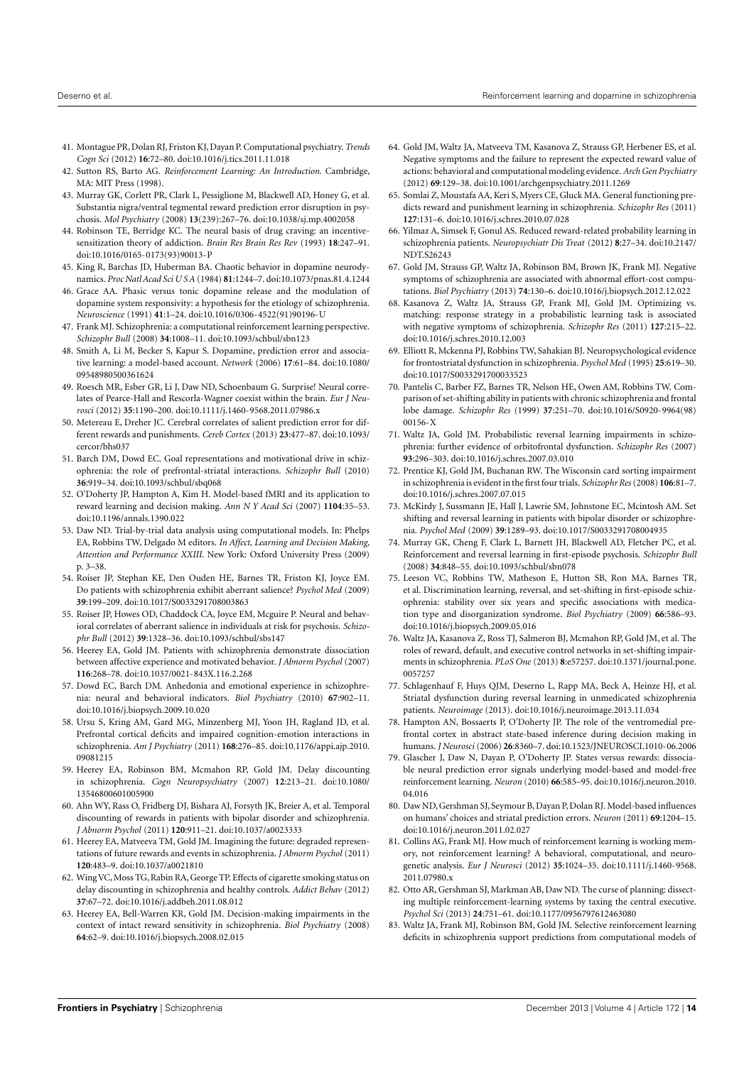- <span id="page-13-0"></span>41. Montague PR, Dolan RJ, Friston KJ, Dayan P. Computational psychiatry.*Trends Cogn Sci* (2012) **16**:72–80. doi[:10.1016/j.tics.2011.11.018](http://dx.doi.org/10.1016/j.tics.2011.11.018)
- <span id="page-13-1"></span>42. Sutton RS, Barto AG. *Reinforcement Learning: An Introduction*. Cambridge, MA: MIT Press (1998).
- <span id="page-13-2"></span>43. Murray GK, Corlett PR, Clark L, Pessiglione M, Blackwell AD, Honey G, et al. Substantia nigra/ventral tegmental reward prediction error disruption in psychosis. *Mol Psychiatry* (2008) **13**(239):267–76. doi[:10.1038/sj.mp.4002058](http://dx.doi.org/10.1038/sj.mp.4002058)
- <span id="page-13-3"></span>44. Robinson TE, Berridge KC. The neural basis of drug craving: an incentivesensitization theory of addiction. *Brain Res Brain Res Rev* (1993) **18**:247–91. doi[:10.1016/0165-0173\(93\)90013-P](http://dx.doi.org/10.1016/0165-0173(93)90013-P)
- <span id="page-13-4"></span>45. King R, Barchas JD, Huberman BA. Chaotic behavior in dopamine neurodynamics. *Proc Natl Acad Sci U S A* (1984) **81**:1244–7. doi[:10.1073/pnas.81.4.1244](http://dx.doi.org/10.1073/pnas.81.4.1244)
- <span id="page-13-5"></span>46. Grace AA. Phasic versus tonic dopamine release and the modulation of dopamine system responsivity: a hypothesis for the etiology of schizophrenia. *Neuroscience* (1991) **41**:1–24. doi[:10.1016/0306-4522\(91\)90196-U](http://dx.doi.org/10.1016/0306-4522(91)90196-U)
- <span id="page-13-6"></span>47. Frank MJ. Schizophrenia: a computational reinforcement learning perspective. *Schizophr Bull* (2008) **34**:1008–11. doi[:10.1093/schbul/sbn123](http://dx.doi.org/10.1093/schbul/sbn123)
- <span id="page-13-7"></span>48. Smith A, Li M, Becker S, Kapur S. Dopamine, prediction error and associative learning: a model-based account. *Network* (2006) **17**:61–84. doi[:10.1080/](http://dx.doi.org/10.1080/09548980500361624) [09548980500361624](http://dx.doi.org/10.1080/09548980500361624)
- 49. Roesch MR, Esber GR, Li J, Daw ND, Schoenbaum G. Surprise! Neural correlates of Pearce-Hall and Rescorla-Wagner coexist within the brain. *Eur J Neurosci* (2012) **35**:1190–200. doi[:10.1111/j.1460-9568.2011.07986.x](http://dx.doi.org/10.1111/j.1460-9568.2011.07986.x)
- <span id="page-13-8"></span>50. Metereau E, Dreher JC. Cerebral correlates of salient prediction error for different rewards and punishments. *Cereb Cortex* (2013) **23**:477–87. doi[:10.1093/](http://dx.doi.org/10.1093/cercor/bhs037) [cercor/bhs037](http://dx.doi.org/10.1093/cercor/bhs037)
- <span id="page-13-9"></span>51. Barch DM, Dowd EC. Goal representations and motivational drive in schizophrenia: the role of prefrontal-striatal interactions. *Schizophr Bull* (2010) **36**:919–34. doi[:10.1093/schbul/sbq068](http://dx.doi.org/10.1093/schbul/sbq068)
- <span id="page-13-12"></span>52. O'Doherty JP, Hampton A, Kim H. Model-based fMRI and its application to reward learning and decision making. *Ann N Y Acad Sci* (2007) **1104**:35–53. doi[:10.1196/annals.1390.022](http://dx.doi.org/10.1196/annals.1390.022)
- <span id="page-13-13"></span>53. Daw ND. Trial-by-trial data analysis using computational models. In: Phelps EA, Robbins TW, Delgado M editors. *In Affect, Learning and Decision Making, Attention and Performance XXIII*. New York: Oxford University Press (2009) p. 3–38.
- <span id="page-13-16"></span>54. Roiser JP, Stephan KE, Den Ouden HE, Barnes TR, Friston KJ, Joyce EM. Do patients with schizophrenia exhibit aberrant salience? *Psychol Med* (2009) **39**:199–209. doi[:10.1017/S0033291708003863](http://dx.doi.org/10.1017/S0033291708003863)
- <span id="page-13-17"></span>55. Roiser JP, Howes OD, Chaddock CA, Joyce EM, Mcguire P. Neural and behavioral correlates of aberrant salience in individuals at risk for psychosis. *Schizophr Bull* (2012) **39**:1328–36. doi[:10.1093/schbul/sbs147](http://dx.doi.org/10.1093/schbul/sbs147)
- <span id="page-13-18"></span>56. Heerey EA, Gold JM. Patients with schizophrenia demonstrate dissociation between affective experience and motivated behavior. *J Abnorm Psychol* (2007) **116**:268–78. doi[:10.1037/0021-843X.116.2.268](http://dx.doi.org/10.1037/0021-843X.116.2.268)
- <span id="page-13-19"></span>57. Dowd EC, Barch DM. Anhedonia and emotional experience in schizophrenia: neural and behavioral indicators. *Biol Psychiatry* (2010) **67**:902–11. doi[:10.1016/j.biopsych.2009.10.020](http://dx.doi.org/10.1016/j.biopsych.2009.10.020)
- <span id="page-13-20"></span>58. Ursu S, Kring AM, Gard MG, Minzenberg MJ, Yoon JH, Ragland JD, et al. Prefrontal cortical deficits and impaired cognition-emotion interactions in schizophrenia. *Am J Psychiatry* (2011) **168**:276–85. doi[:10.1176/appi.ajp.2010.](http://dx.doi.org/10.1176/appi.ajp.2010.09081215) [09081215](http://dx.doi.org/10.1176/appi.ajp.2010.09081215)
- <span id="page-13-21"></span>59. Heerey EA, Robinson BM, Mcmahon RP, Gold JM. Delay discounting in schizophrenia. *Cogn Neuropsychiatry* (2007) **12**:213–21. doi[:10.1080/](http://dx.doi.org/10.1080/13546800601005900) [13546800601005900](http://dx.doi.org/10.1080/13546800601005900)
- 60. Ahn WY, Rass O, Fridberg DJ, Bishara AJ, Forsyth JK, Breier A, et al. Temporal discounting of rewards in patients with bipolar disorder and schizophrenia. *J Abnorm Psychol* (2011) **120**:911–21. doi[:10.1037/a0023333](http://dx.doi.org/10.1037/a0023333)
- 61. Heerey EA, Matveeva TM, Gold JM. Imagining the future: degraded representations of future rewards and events in schizophrenia. *J Abnorm Psychol* (2011) **120**:483–9. doi[:10.1037/a0021810](http://dx.doi.org/10.1037/a0021810)
- <span id="page-13-22"></span>62. WingVC,Moss TG, Rabin RA, George TP. Effects of cigarette smoking status on delay discounting in schizophrenia and healthy controls. *Addict Behav* (2012) **37**:67–72. doi[:10.1016/j.addbeh.2011.08.012](http://dx.doi.org/10.1016/j.addbeh.2011.08.012)
- <span id="page-13-23"></span>63. Heerey EA, Bell-Warren KR, Gold JM. Decision-making impairments in the context of intact reward sensitivity in schizophrenia. *Biol Psychiatry* (2008) **64**:62–9. doi[:10.1016/j.biopsych.2008.02.015](http://dx.doi.org/10.1016/j.biopsych.2008.02.015)
- <span id="page-13-10"></span>64. Gold JM, Waltz JA, Matveeva TM, Kasanova Z, Strauss GP, Herbener ES, et al. Negative symptoms and the failure to represent the expected reward value of actions: behavioral and computational modeling evidence. *Arch Gen Psychiatry* (2012) **69**:129–38. doi[:10.1001/archgenpsychiatry.2011.1269](http://dx.doi.org/10.1001/archgenpsychiatry.2011.1269)
- <span id="page-13-24"></span>65. Somlai Z, Moustafa AA, Keri S, Myers CE, Gluck MA. General functioning predicts reward and punishment learning in schizophrenia. *Schizophr Res* (2011) **127**:131–6. doi[:10.1016/j.schres.2010.07.028](http://dx.doi.org/10.1016/j.schres.2010.07.028)
- <span id="page-13-25"></span>66. Yilmaz A, Simsek F, Gonul AS. Reduced reward-related probability learning in schizophrenia patients. *Neuropsychiatr Dis Treat* (2012) **8**:27–34. doi[:10.2147/](http://dx.doi.org/10.2147/NDT.S26243) [NDT.S26243](http://dx.doi.org/10.2147/NDT.S26243)
- <span id="page-13-26"></span>67. Gold JM, Strauss GP, Waltz JA, Robinson BM, Brown JK, Frank MJ. Negative symptoms of schizophrenia are associated with abnormal effort-cost computations. *Biol Psychiatry* (2013) **74**:130–6. doi[:10.1016/j.biopsych.2012.12.022](http://dx.doi.org/10.1016/j.biopsych.2012.12.022)
- <span id="page-13-27"></span>68. Kasanova Z, Waltz JA, Strauss GP, Frank MJ, Gold JM. Optimizing vs. matching: response strategy in a probabilistic learning task is associated with negative symptoms of schizophrenia. *Schizophr Res* (2011) **127**:215–22. doi[:10.1016/j.schres.2010.12.003](http://dx.doi.org/10.1016/j.schres.2010.12.003)
- <span id="page-13-28"></span>69. Elliott R, Mckenna PJ, Robbins TW, Sahakian BJ. Neuropsychological evidence for frontostriatal dysfunction in schizophrenia. *Psychol Med* (1995) **25**:619–30. doi[:10.1017/S0033291700033523](http://dx.doi.org/10.1017/S0033291700033523)
- 70. Pantelis C, Barber FZ, Barnes TR, Nelson HE, Owen AM, Robbins TW. Comparison of set-shifting ability in patients with chronic schizophrenia and frontal lobe damage. *Schizophr Res* (1999) **37**:251–70. doi[:10.1016/S0920-9964\(98\)](http://dx.doi.org/10.1016/S0920-9964(98)00156-X) [00156-X](http://dx.doi.org/10.1016/S0920-9964(98)00156-X)
- 71. Waltz JA, Gold JM. Probabilistic reversal learning impairments in schizophrenia: further evidence of orbitofrontal dysfunction. *Schizophr Res* (2007) **93**:296–303. doi[:10.1016/j.schres.2007.03.010](http://dx.doi.org/10.1016/j.schres.2007.03.010)
- 72. Prentice KJ, Gold JM, Buchanan RW. The Wisconsin card sorting impairment in schizophrenia is evident in the firstfour trials. *Schizophr Res* (2008) **106**:81–7. doi[:10.1016/j.schres.2007.07.015](http://dx.doi.org/10.1016/j.schres.2007.07.015)
- <span id="page-13-29"></span>73. McKirdy J, Sussmann JE, Hall J, Lawrie SM, Johnstone EC, Mcintosh AM. Set shifting and reversal learning in patients with bipolar disorder or schizophrenia. *Psychol Med* (2009) **39**:1289–93. doi[:10.1017/S0033291708004935](http://dx.doi.org/10.1017/S0033291708004935)
- <span id="page-13-30"></span>74. Murray GK, Cheng F, Clark L, Barnett JH, Blackwell AD, Fletcher PC, et al. Reinforcement and reversal learning in first-episode psychosis. *Schizophr Bull* (2008) **34**:848–55. doi[:10.1093/schbul/sbn078](http://dx.doi.org/10.1093/schbul/sbn078)
- <span id="page-13-31"></span>75. Leeson VC, Robbins TW, Matheson E, Hutton SB, Ron MA, Barnes TR, et al. Discrimination learning, reversal, and set-shifting in first-episode schizophrenia: stability over six years and specific associations with medication type and disorganization syndrome. *Biol Psychiatry* (2009) **66**:586–93. doi[:10.1016/j.biopsych.2009.05.016](http://dx.doi.org/10.1016/j.biopsych.2009.05.016)
- <span id="page-13-32"></span>76. Waltz JA, Kasanova Z, Ross TJ, Salmeron BJ, Mcmahon RP, Gold JM, et al. The roles of reward, default, and executive control networks in set-shifting impairments in schizophrenia. *PLoS One* (2013) **8**:e57257. doi[:10.1371/journal.pone.](http://dx.doi.org/10.1371/journal.pone.0057257) [0057257](http://dx.doi.org/10.1371/journal.pone.0057257)
- <span id="page-13-11"></span>77. Schlagenhauf F, Huys QJM, Deserno L, Rapp MA, Beck A, Heinze HJ, et al. Striatal dysfunction during reversal learning in unmedicated schizophrenia patients. *Neuroimage* (2013). doi[:10.1016/j.neuroimage.2013.11.034](http://dx.doi.org/10.1016/j.neuroimage.2013.11.034)
- <span id="page-13-33"></span>78. Hampton AN, Bossaerts P, O'Doherty JP. The role of the ventromedial prefrontal cortex in abstract state-based inference during decision making in humans. *J Neurosci* (2006) **26**:8360–7. doi[:10.1523/JNEUROSCI.1010-06.2006](http://dx.doi.org/10.1523/JNEUROSCI.1010-06.2006)
- <span id="page-13-15"></span>79. Glascher J, Daw N, Dayan P, O'Doherty JP. States versus rewards: dissociable neural prediction error signals underlying model-based and model-free reinforcement learning. *Neuron* (2010) **66**:585–95. doi[:10.1016/j.neuron.2010.](http://dx.doi.org/10.1016/j.neuron.2010.04.016) [04.016](http://dx.doi.org/10.1016/j.neuron.2010.04.016)
- <span id="page-13-14"></span>80. Daw ND, Gershman SJ, Seymour B, Dayan P, Dolan RJ. Model-based influences on humans' choices and striatal prediction errors. *Neuron* (2011) **69**:1204–15. doi[:10.1016/j.neuron.2011.02.027](http://dx.doi.org/10.1016/j.neuron.2011.02.027)
- <span id="page-13-34"></span>81. Collins AG, Frank MJ. How much of reinforcement learning is working memory, not reinforcement learning? A behavioral, computational, and neurogenetic analysis. *Eur J Neurosci* (2012) **35**:1024–35. doi[:10.1111/j.1460-9568.](http://dx.doi.org/10.1111/j.1460-9568.2011.07980.x) [2011.07980.x](http://dx.doi.org/10.1111/j.1460-9568.2011.07980.x)
- <span id="page-13-35"></span>82. Otto AR, Gershman SJ, Markman AB, Daw ND. The curse of planning: dissecting multiple reinforcement-learning systems by taxing the central executive. *Psychol Sci* (2013) **24**:751–61. doi[:10.1177/0956797612463080](http://dx.doi.org/10.1177/0956797612463080)
- <span id="page-13-36"></span>83. Waltz JA, Frank MJ, Robinson BM, Gold JM. Selective reinforcement learning deficits in schizophrenia support predictions from computational models of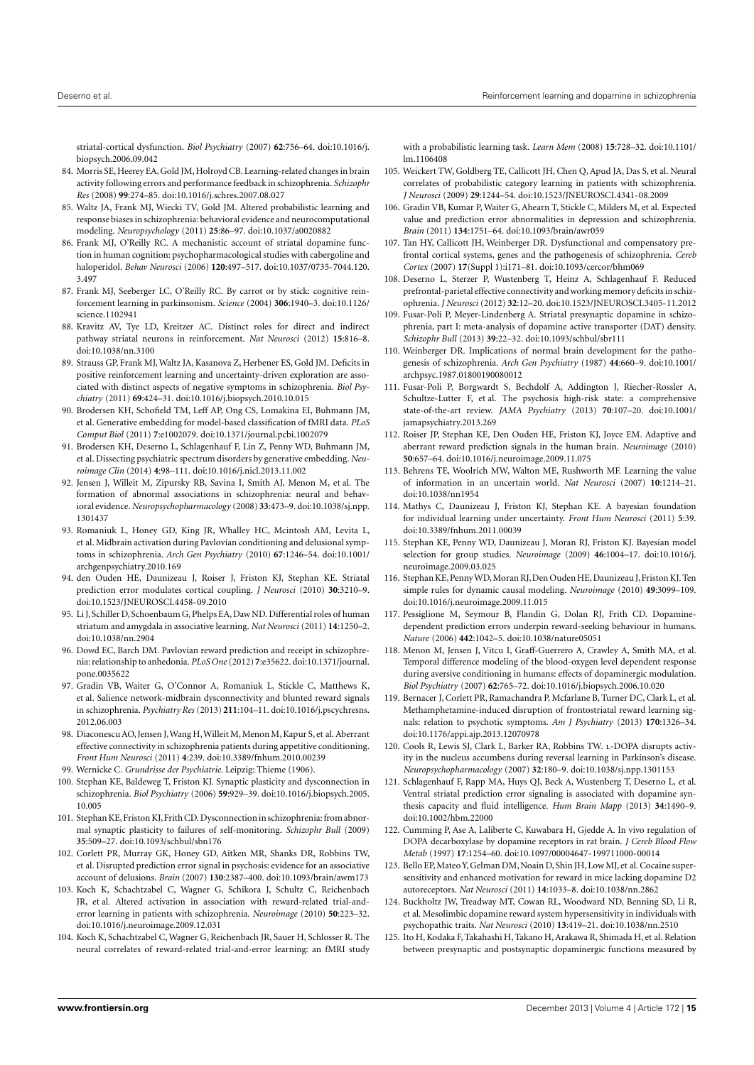striatal-cortical dysfunction. *Biol Psychiatry* (2007) **62**:756–64. doi[:10.1016/j.](http://dx.doi.org/10.1016/j.biopsych.2006.09.042) [biopsych.2006.09.042](http://dx.doi.org/10.1016/j.biopsych.2006.09.042)

- <span id="page-14-5"></span>84. Morris SE, Heerey EA, Gold JM, Holroyd CB. Learning-related changes in brain activity following errors and performance feedback in schizophrenia. *Schizophr Res* (2008) **99**:274–85. doi[:10.1016/j.schres.2007.08.027](http://dx.doi.org/10.1016/j.schres.2007.08.027)
- <span id="page-14-6"></span>85. Waltz JA, Frank MJ, Wiecki TV, Gold JM. Altered probabilistic learning and response biases in schizophrenia: behavioral evidence and neurocomputational modeling. *Neuropsychology* (2011) **25**:86–97. doi[:10.1037/a0020882](http://dx.doi.org/10.1037/a0020882)
- <span id="page-14-7"></span>86. Frank MJ, O'Reilly RC. A mechanistic account of striatal dopamine function in human cognition: psychopharmacological studies with cabergoline and haloperidol. *Behav Neurosci* (2006) **120**:497–517. doi[:10.1037/0735-7044.120.](http://dx.doi.org/10.1037/0735-7044.120.3.497) [3.497](http://dx.doi.org/10.1037/0735-7044.120.3.497)
- <span id="page-14-8"></span>87. Frank MJ, Seeberger LC, O'Reilly RC. By carrot or by stick: cognitive reinforcement learning in parkinsonism. *Science* (2004) **306**:1940–3. doi[:10.1126/](http://dx.doi.org/10.1126/science.1102941) [science.1102941](http://dx.doi.org/10.1126/science.1102941)
- <span id="page-14-9"></span>88. Kravitz AV, Tye LD, Kreitzer AC. Distinct roles for direct and indirect pathway striatal neurons in reinforcement. *Nat Neurosci* (2012) **15**:816–8. doi[:10.1038/nn.3100](http://dx.doi.org/10.1038/nn.3100)
- <span id="page-14-0"></span>89. Strauss GP, Frank MJ,Waltz JA, Kasanova Z, Herbener ES, Gold JM. Deficits in positive reinforcement learning and uncertainty-driven exploration are associated with distinct aspects of negative symptoms in schizophrenia. *Biol Psychiatry* (2011) **69**:424–31. doi[:10.1016/j.biopsych.2010.10.015](http://dx.doi.org/10.1016/j.biopsych.2010.10.015)
- <span id="page-14-10"></span>90. Brodersen KH, Schofield TM, Leff AP, Ong CS, Lomakina EI, Buhmann JM, et al. Generative embedding for model-based classification of fMRI data. *PLoS Comput Biol* (2011) **7**:e1002079. doi[:10.1371/journal.pcbi.1002079](http://dx.doi.org/10.1371/journal.pcbi.1002079)
- <span id="page-14-11"></span>91. Brodersen KH, Deserno L, Schlagenhauf F, Lin Z, Penny WD, Buhmann JM, et al. Dissecting psychiatric spectrum disorders by generative embedding. *Neuroimage Clin* (2014) **4**:98–111. doi[:10.1016/j.nicl.2013.11.002](http://dx.doi.org/10.1016/j.nicl.2013.11.002)
- <span id="page-14-12"></span>92. Jensen J, Willeit M, Zipursky RB, Savina I, Smith AJ, Menon M, et al. The formation of abnormal associations in schizophrenia: neural and behavioral evidence. *Neuropsychopharmacology* (2008) **33**:473–9. doi[:10.1038/sj.npp.](http://dx.doi.org/10.1038/sj.npp.1301437) [1301437](http://dx.doi.org/10.1038/sj.npp.1301437)
- <span id="page-14-3"></span>93. Romaniuk L, Honey GD, King JR, Whalley HC, Mcintosh AM, Levita L, et al. Midbrain activation during Pavlovian conditioning and delusional symptoms in schizophrenia. *Arch Gen Psychiatry* (2010) **67**:1246–54. doi[:10.1001/](http://dx.doi.org/10.1001/archgenpsychiatry.2010.169) [archgenpsychiatry.2010.169](http://dx.doi.org/10.1001/archgenpsychiatry.2010.169)
- <span id="page-14-13"></span>94. den Ouden HE, Daunizeau J, Roiser J, Friston KJ, Stephan KE. Striatal prediction error modulates cortical coupling. *J Neurosci* (2010) **30**:3210–9. doi[:10.1523/JNEUROSCI.4458-09.2010](http://dx.doi.org/10.1523/JNEUROSCI.4458-09.2010)
- <span id="page-14-14"></span>95. Li J, Schiller D, Schoenbaum G, Phelps EA, Daw ND. Differential roles of human striatum and amygdala in associative learning. *Nat Neurosci* (2011) **14**:1250–2. doi[:10.1038/nn.2904](http://dx.doi.org/10.1038/nn.2904)
- <span id="page-14-15"></span>96. Dowd EC, Barch DM. Pavlovian reward prediction and receipt in schizophrenia: relationship to anhedonia. *PLoS One* (2012) **7**:e35622. doi[:10.1371/journal.](http://dx.doi.org/10.1371/journal.pone.0035622) [pone.0035622](http://dx.doi.org/10.1371/journal.pone.0035622)
- <span id="page-14-16"></span>97. Gradin VB, Waiter G, O'Connor A, Romaniuk L, Stickle C, Matthews K, et al. Salience network-midbrain dysconnectivity and blunted reward signals in schizophrenia. *Psychiatry Res* (2013) **211**:104–11. doi[:10.1016/j.pscychresns.](http://dx.doi.org/10.1016/j.pscychresns.2012.06.003) [2012.06.003](http://dx.doi.org/10.1016/j.pscychresns.2012.06.003)
- <span id="page-14-17"></span>98. Diaconescu AO, Jensen J, Wang H, Willeit M, Menon M, Kapur S, et al. Aberrant effective connectivity in schizophrenia patients during appetitive conditioning. *Front Hum Neurosci* (2011) **4**:239. doi[:10.3389/fnhum.2010.00239](http://dx.doi.org/10.3389/fnhum.2010.00239)
- <span id="page-14-18"></span>99. Wernicke C. *Grundrisse der Psychiatrie*. Leipzig: Thieme (1906).
- <span id="page-14-41"></span>100. Stephan KE, Baldeweg T, Friston KJ. Synaptic plasticity and dysconnection in schizophrenia. *Biol Psychiatry* (2006) **59**:929–39. doi[:10.1016/j.biopsych.2005.](http://dx.doi.org/10.1016/j.biopsych.2005.10.005) [10.005](http://dx.doi.org/10.1016/j.biopsych.2005.10.005)
- <span id="page-14-19"></span>101. Stephan KE, Friston KJ, Frith CD. Dysconnection in schizophrenia: from abnormal synaptic plasticity to failures of self-monitoring. *Schizophr Bull* (2009) **35**:509–27. doi[:10.1093/schbul/sbn176](http://dx.doi.org/10.1093/schbul/sbn176)
- <span id="page-14-20"></span>102. Corlett PR, Murray GK, Honey GD, Aitken MR, Shanks DR, Robbins TW, et al. Disrupted prediction error signal in psychosis: evidence for an associative account of delusions. *Brain* (2007) **130**:2387–400. doi[:10.1093/brain/awm173](http://dx.doi.org/10.1093/brain/awm173)
- <span id="page-14-1"></span>103. Koch K, Schachtzabel C, Wagner G, Schikora J, Schultz C, Reichenbach JR, et al. Altered activation in association with reward-related trial-anderror learning in patients with schizophrenia. *Neuroimage* (2010) **50**:223–32. doi[:10.1016/j.neuroimage.2009.12.031](http://dx.doi.org/10.1016/j.neuroimage.2009.12.031)
- <span id="page-14-21"></span>104. Koch K, Schachtzabel C,Wagner G, Reichenbach JR, Sauer H, Schlosser R. The neural correlates of reward-related trial-and-error learning: an fMRI study

with a probabilistic learning task. *Learn Mem* (2008) **15**:728–32. doi[:10.1101/](http://dx.doi.org/10.1101/lm.1106408) [lm.1106408](http://dx.doi.org/10.1101/lm.1106408)

- <span id="page-14-22"></span>105. Weickert TW, Goldberg TE, Callicott JH, Chen Q, Apud JA, Das S, et al. Neural correlates of probabilistic category learning in patients with schizophrenia. *J Neurosci* (2009) **29**:1244–54. doi[:10.1523/JNEUROSCI.4341-08.2009](http://dx.doi.org/10.1523/JNEUROSCI.4341-08.2009)
- <span id="page-14-2"></span>106. Gradin VB, Kumar P, Waiter G, Ahearn T, Stickle C, Milders M, et al. Expected value and prediction error abnormalities in depression and schizophrenia. *Brain* (2011) **134**:1751–64. doi[:10.1093/brain/awr059](http://dx.doi.org/10.1093/brain/awr059)
- <span id="page-14-23"></span>107. Tan HY, Callicott JH, Weinberger DR. Dysfunctional and compensatory prefrontal cortical systems, genes and the pathogenesis of schizophrenia. *Cereb Cortex* (2007) **17**(Suppl 1):i171–81. doi[:10.1093/cercor/bhm069](http://dx.doi.org/10.1093/cercor/bhm069)
- <span id="page-14-24"></span>108. Deserno L, Sterzer P, Wustenberg T, Heinz A, Schlagenhauf F. Reduced prefrontal-parietal effective connectivity and working memory deficits in schizophrenia. *J Neurosci* (2012) **32**:12–20. doi[:10.1523/JNEUROSCI.3405-11.2012](http://dx.doi.org/10.1523/JNEUROSCI.3405-11.2012)
- <span id="page-14-25"></span>109. Fusar-Poli P, Meyer-Lindenberg A. Striatal presynaptic dopamine in schizophrenia, part I: meta-analysis of dopamine active transporter (DAT) density. *Schizophr Bull* (2013) **39**:22–32. doi[:10.1093/schbul/sbr111](http://dx.doi.org/10.1093/schbul/sbr111)
- <span id="page-14-26"></span>110. Weinberger DR. Implications of normal brain development for the pathogenesis of schizophrenia. *Arch Gen Psychiatry* (1987) **44**:660–9. doi[:10.1001/](http://dx.doi.org/10.1001/archpsyc.1987.01800190080012) [archpsyc.1987.01800190080012](http://dx.doi.org/10.1001/archpsyc.1987.01800190080012)
- <span id="page-14-27"></span>111. Fusar-Poli P, Borgwardt S, Bechdolf A, Addington J, Riecher-Rossler A, Schultze-Lutter F, et al. The psychosis high-risk state: a comprehensive state-of-the-art review. *JAMA Psychiatry* (2013) **70**:107–20. doi[:10.1001/](http://dx.doi.org/10.1001/jamapsychiatry.2013.269) [jamapsychiatry.2013.269](http://dx.doi.org/10.1001/jamapsychiatry.2013.269)
- <span id="page-14-28"></span>112. Roiser JP, Stephan KE, Den Ouden HE, Friston KJ, Joyce EM. Adaptive and aberrant reward prediction signals in the human brain. *Neuroimage* (2010) **50**:657–64. doi[:10.1016/j.neuroimage.2009.11.075](http://dx.doi.org/10.1016/j.neuroimage.2009.11.075)
- <span id="page-14-29"></span>113. Behrens TE, Woolrich MW, Walton ME, Rushworth MF. Learning the value of information in an uncertain world. *Nat Neurosci* (2007) **10**:1214–21. doi[:10.1038/nn1954](http://dx.doi.org/10.1038/nn1954)
- <span id="page-14-30"></span>114. Mathys C, Daunizeau J, Friston KJ, Stephan KE. A bayesian foundation for individual learning under uncertainty. *Front Hum Neurosci* (2011) **5**:39. doi[:10.3389/fnhum.2011.00039](http://dx.doi.org/10.3389/fnhum.2011.00039)
- <span id="page-14-4"></span>115. Stephan KE, Penny WD, Daunizeau J, Moran RJ, Friston KJ. Bayesian model selection for group studies. *Neuroimage* (2009) **46**:1004–17. doi[:10.1016/j.](http://dx.doi.org/10.1016/j.neuroimage.2009.03.025) [neuroimage.2009.03.025](http://dx.doi.org/10.1016/j.neuroimage.2009.03.025)
- <span id="page-14-31"></span>116. Stephan KE, PennyWD,Moran RJ,Den Ouden HE,Daunizeau J, Friston KJ. Ten simple rules for dynamic causal modeling. *Neuroimage* (2010) **49**:3099–109. doi[:10.1016/j.neuroimage.2009.11.015](http://dx.doi.org/10.1016/j.neuroimage.2009.11.015)
- <span id="page-14-32"></span>117. Pessiglione M, Seymour B, Flandin G, Dolan RJ, Frith CD. Dopaminedependent prediction errors underpin reward-seeking behaviour in humans. *Nature* (2006) **442**:1042–5. doi[:10.1038/nature05051](http://dx.doi.org/10.1038/nature05051)
- <span id="page-14-33"></span>118. Menon M, Jensen J, Vitcu I, Graff-Guerrero A, Crawley A, Smith MA, et al. Temporal difference modeling of the blood-oxygen level dependent response during aversive conditioning in humans: effects of dopaminergic modulation. *Biol Psychiatry* (2007) **62**:765–72. doi[:10.1016/j.biopsych.2006.10.020](http://dx.doi.org/10.1016/j.biopsych.2006.10.020)
- <span id="page-14-34"></span>119. Bernacer J, Corlett PR, Ramachandra P, Mcfarlane B, Turner DC, Clark L, et al. Methamphetamine-induced disruption of frontostriatal reward learning signals: relation to psychotic symptoms. *Am J Psychiatry* (2013) **170**:1326–34. doi[:10.1176/appi.ajp.2013.12070978](http://dx.doi.org/10.1176/appi.ajp.2013.12070978)
- <span id="page-14-35"></span>120. Cools R, Lewis SJ, Clark L, Barker RA, Robbins TW. l-DOPA disrupts activity in the nucleus accumbens during reversal learning in Parkinson's disease. *Neuropsychopharmacology* (2007) **32**:180–9. doi[:10.1038/sj.npp.1301153](http://dx.doi.org/10.1038/sj.npp.1301153)
- <span id="page-14-36"></span>121. Schlagenhauf F, Rapp MA, Huys QJ, Beck A, Wustenberg T, Deserno L, et al. Ventral striatal prediction error signaling is associated with dopamine synthesis capacity and fluid intelligence. *Hum Brain Mapp* (2013) **34**:1490–9. doi[:10.1002/hbm.22000](http://dx.doi.org/10.1002/hbm.22000)
- <span id="page-14-37"></span>122. Cumming P, Ase A, Laliberte C, Kuwabara H, Gjedde A. In vivo regulation of DOPA decarboxylase by dopamine receptors in rat brain. *J Cereb Blood Flow Metab* (1997) **17**:1254–60. doi[:10.1097/00004647-199711000-00014](http://dx.doi.org/10.1097/00004647-199711000-00014)
- <span id="page-14-38"></span>123. Bello EP,Mateo Y, Gelman DM, Noain D, Shin JH, Low MJ, et al. Cocaine supersensitivity and enhanced motivation for reward in mice lacking dopamine D2 autoreceptors. *Nat Neurosci* (2011) **14**:1033–8. doi[:10.1038/nn.2862](http://dx.doi.org/10.1038/nn.2862)
- <span id="page-14-39"></span>124. Buckholtz JW, Treadway MT, Cowan RL, Woodward ND, Benning SD, Li R, et al. Mesolimbic dopamine reward system hypersensitivity in individuals with psychopathic traits. *Nat Neurosci* (2010) **13**:419–21. doi[:10.1038/nn.2510](http://dx.doi.org/10.1038/nn.2510)
- <span id="page-14-40"></span>125. Ito H, Kodaka F, Takahashi H, Takano H, Arakawa R, Shimada H, et al. Relation between presynaptic and postsynaptic dopaminergic functions measured by